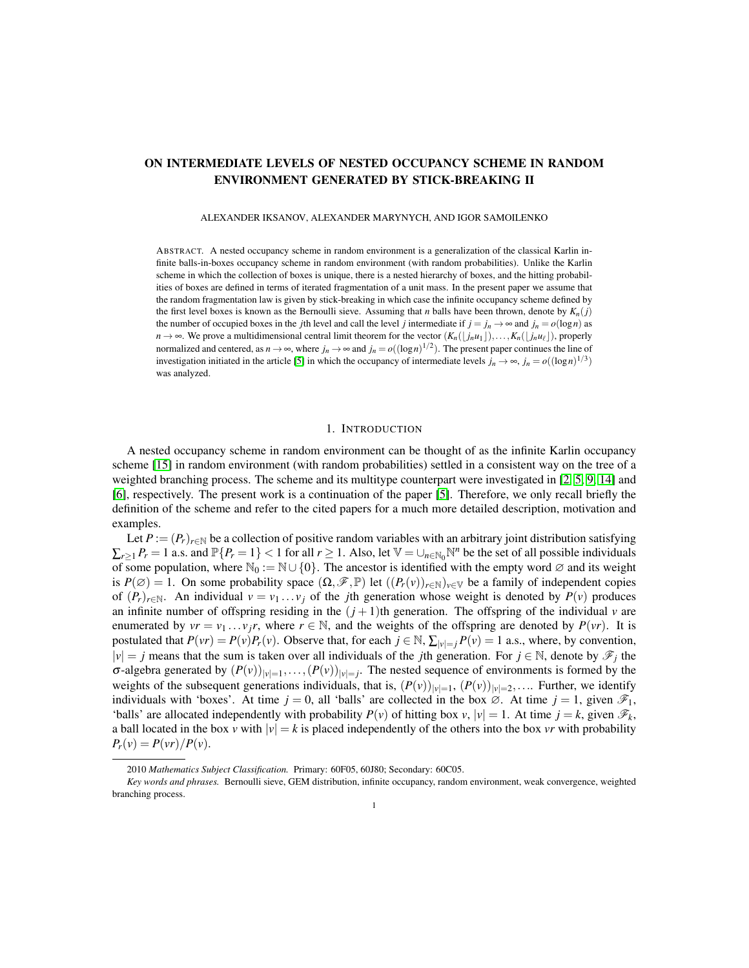# ON INTERMEDIATE LEVELS OF NESTED OCCUPANCY SCHEME IN RANDOM ENVIRONMENT GENERATED BY STICK-BREAKING II

ALEXANDER IKSANOV, ALEXANDER MARYNYCH, AND IGOR SAMOILENKO

ABSTRACT. A nested occupancy scheme in random environment is a generalization of the classical Karlin infinite balls-in-boxes occupancy scheme in random environment (with random probabilities). Unlike the Karlin scheme in which the collection of boxes is unique, there is a nested hierarchy of boxes, and the hitting probabilities of boxes are defined in terms of iterated fragmentation of a unit mass. In the present paper we assume that the random fragmentation law is given by stick-breaking in which case the infinite occupancy scheme defined by the first level boxes is known as the Bernoulli sieve. Assuming that *n* balls have been thrown, denote by  $K_n(j)$ the number of occupied boxes in the *j*th level and call the level *j* intermediate if  $j = j_n \rightarrow \infty$  and  $j_n = o(\log n)$  as *n* → ∞. We prove a multidimensional central limit theorem for the vector  $(K_n(\lfloor j_n u_1 \rfloor),...,K_n(\lfloor j_n u_\ell \rfloor))$ , properly normalized and centered, as  $n \to \infty$ , where  $j_n \to \infty$  and  $j_n = o((\log n)^{1/2})$ . The present paper continues the line of investigation initiated in the article [\[5\]](#page-18-0) in which the occupancy of intermediate levels  $j_n \to \infty$ ,  $j_n = o((\log n)^{1/3})$ was analyzed.

### 1. INTRODUCTION

A nested occupancy scheme in random environment can be thought of as the infinite Karlin occupancy scheme [\[15\]](#page-19-0) in random environment (with random probabilities) settled in a consistent way on the tree of a weighted branching process. The scheme and its multitype counterpart were investigated in [\[2,](#page-18-1) [5,](#page-18-0) [9,](#page-19-1) [14\]](#page-19-2) and [\[6\]](#page-18-2), respectively. The present work is a continuation of the paper [\[5\]](#page-18-0). Therefore, we only recall briefly the definition of the scheme and refer to the cited papers for a much more detailed description, motivation and examples.

Let  $P := (P_r)_{r \in \mathbb{N}}$  be a collection of positive random variables with an arbitrary joint distribution satisfying  $\sum_{r\geq 1} P_r = 1$  a.s. and  $\mathbb{P}\{P_r = 1\} < 1$  for all  $r \geq 1$ . Also, let  $\mathbb{V} = \bigcup_{n\in\mathbb{N}_0} \mathbb{N}^n$  be the set of all possible individuals of some population, where  $\mathbb{N}_0 := \mathbb{N} \cup \{0\}$ . The ancestor is identified with the empty word  $\varnothing$  and its weight is  $P(\emptyset) = 1$ . On some probability space  $(\Omega, \mathscr{F}, \mathbb{P})$  let  $((P_r(v))_{r \in \mathbb{N}})_{v \in \mathbb{V}}$  be a family of independent copies of  $(P_r)_{r \in \mathbb{N}}$ . An individual  $v = v_1 \ldots v_j$  of the *j*th generation whose weight is denoted by  $P(v)$  produces an infinite number of offspring residing in the  $(j + 1)$ th generation. The offspring of the individual *v* are enumerated by  $vr = v_1 \dots v_j r$ , where  $r \in \mathbb{N}$ , and the weights of the offspring are denoted by  $P(vr)$ . It is postulated that  $P(vr) = P(v)P_r(v)$ . Observe that, for each  $j \in \mathbb{N}$ ,  $\sum_{|v|=j} P(v) = 1$  a.s., where, by convention,  $|v| = j$  means that the sum is taken over all individuals of the *j*th generation. For  $j \in \mathbb{N}$ , denote by  $\mathscr{F}_j$  the  $\sigma$ -algebra generated by  $(P(v))_{|v|=1}, \ldots, (P(v))_{|v|=j}$ . The nested sequence of environments is formed by the weights of the subsequent generations individuals, that is,  $(P(v))_{|v|=1}$ ,  $(P(v))_{|v|=2}$ ,.... Further, we identify individuals with 'boxes'. At time  $j = 0$ , all 'balls' are collected in the box  $\emptyset$ . At time  $j = 1$ , given  $\mathscr{F}_1$ , 'balls' are allocated independently with probability  $P(v)$  of hitting box  $v, |v| = 1$ . At time  $j = k$ , given  $\mathcal{F}_k$ , a ball located in the box *v* with  $|v| = k$  is placed independently of the others into the box *vr* with probability  $P_r(v) = P(vr)/P(v).$ 

<sup>2010</sup> *Mathematics Subject Classification.* Primary: 60F05, 60J80; Secondary: 60C05.

*Key words and phrases.* Bernoulli sieve, GEM distribution, infinite occupancy, random environment, weak convergence, weighted branching process.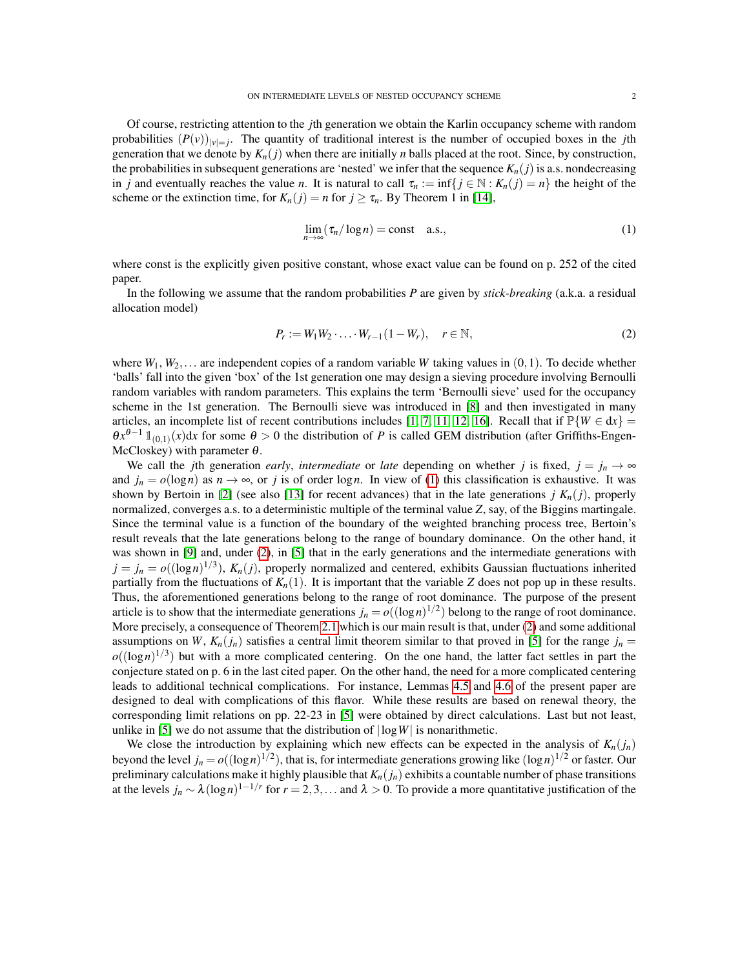Of course, restricting attention to the *j*th generation we obtain the Karlin occupancy scheme with random probabilities  $(P(v))_{|v|=j}$ . The quantity of traditional interest is the number of occupied boxes in the *j*th generation that we denote by  $K_n(j)$  when there are initially *n* balls placed at the root. Since, by construction, the probabilities in subsequent generations are 'nested' we infer that the sequence  $K_n(j)$  is a.s. nondecreasing in *j* and eventually reaches the value *n*. It is natural to call  $\tau_n := \inf\{j \in \mathbb{N} : K_n(j) = n\}$  the height of the scheme or the extinction time, for  $K_n(j) = n$  for  $j \ge \tau_n$ . By Theorem 1 in [\[14\]](#page-19-2),

<span id="page-1-0"></span>
$$
\lim_{n \to \infty} (\tau_n / \log n) = \text{const} \quad \text{a.s.},\tag{1}
$$

where const is the explicitly given positive constant, whose exact value can be found on p. 252 of the cited paper.

In the following we assume that the random probabilities *P* are given by *stick-breaking* (a.k.a. a residual allocation model)

<span id="page-1-1"></span>
$$
P_r := W_1 W_2 \cdot \ldots \cdot W_{r-1} (1 - W_r), \quad r \in \mathbb{N},
$$
 (2)

where  $W_1, W_2, \ldots$  are independent copies of a random variable *W* taking values in  $(0, 1)$ . To decide whether 'balls' fall into the given 'box' of the 1st generation one may design a sieving procedure involving Bernoulli random variables with random parameters. This explains the term 'Bernoulli sieve' used for the occupancy scheme in the 1st generation. The Bernoulli sieve was introduced in [\[8\]](#page-19-3) and then investigated in many articles, an incomplete list of recent contributions includes [\[1,](#page-18-3) [7,](#page-19-4) [11,](#page-19-5) [12,](#page-19-6) [16\]](#page-19-7). Recall that if  $\mathbb{P}{W \in dx}$  =  $\theta x^{\theta-1} \mathbbm{1}_{(0,1)}(x)$ dx for some  $\theta > 0$  the distribution of *P* is called GEM distribution (after Griffiths-Engen-McCloskey) with parameter  $\theta$ .

We call the *j*th generation *early, intermediate* or *late* depending on whether *j* is fixed,  $j = j_n \rightarrow \infty$ and  $j_n = o(\log n)$  as  $n \to \infty$ , or *j* is of order log*n*. In view of [\(1\)](#page-1-0) this classification is exhaustive. It was shown by Bertoin in [\[2\]](#page-18-1) (see also [\[13\]](#page-19-8) for recent advances) that in the late generations  $j K_n(j)$ , properly normalized, converges a.s. to a deterministic multiple of the terminal value *Z*, say, of the Biggins martingale. Since the terminal value is a function of the boundary of the weighted branching process tree, Bertoin's result reveals that the late generations belong to the range of boundary dominance. On the other hand, it was shown in [\[9\]](#page-19-1) and, under [\(2\)](#page-1-1), in [\[5\]](#page-18-0) that in the early generations and the intermediate generations with  $j = j_n = o((\log n)^{1/3})$ ,  $K_n(j)$ , properly normalized and centered, exhibits Gaussian fluctuations inherited partially from the fluctuations of  $K_n(1)$ . It is important that the variable *Z* does not pop up in these results. Thus, the aforementioned generations belong to the range of root dominance. The purpose of the present article is to show that the intermediate generations  $j_n = o((\log n)^{1/2})$  belong to the range of root dominance. More precisely, a consequence of Theorem [2.1](#page-2-0) which is our main result is that, under [\(2\)](#page-1-1) and some additional assumptions on *W*,  $K_n(j_n)$  satisfies a central limit theorem similar to that proved in [\[5\]](#page-18-0) for the range  $j_n =$  $o((\log n)^{1/3})$  but with a more complicated centering. On the one hand, the latter fact settles in part the conjecture stated on p. 6 in the last cited paper. On the other hand, the need for a more complicated centering leads to additional technical complications. For instance, Lemmas [4.5](#page-7-0) and [4.6](#page-7-1) of the present paper are designed to deal with complications of this flavor. While these results are based on renewal theory, the corresponding limit relations on pp. 22-23 in [\[5\]](#page-18-0) were obtained by direct calculations. Last but not least, unlike in [\[5\]](#page-18-0) we do not assume that the distribution of  $|\log W|$  is nonarithmetic.

We close the introduction by explaining which new effects can be expected in the analysis of  $K_n(j_n)$ beyond the level  $j_n = o((\log n)^{1/2})$ , that is, for intermediate generations growing like  $(\log n)^{1/2}$  or faster. Our preliminary calculations make it highly plausible that  $K_n(j_n)$  exhibits a countable number of phase transitions at the levels  $j_n \sim \lambda (\log n)^{1-1/r}$  for  $r = 2, 3, ...$  and  $\lambda > 0$ . To provide a more quantitative justification of the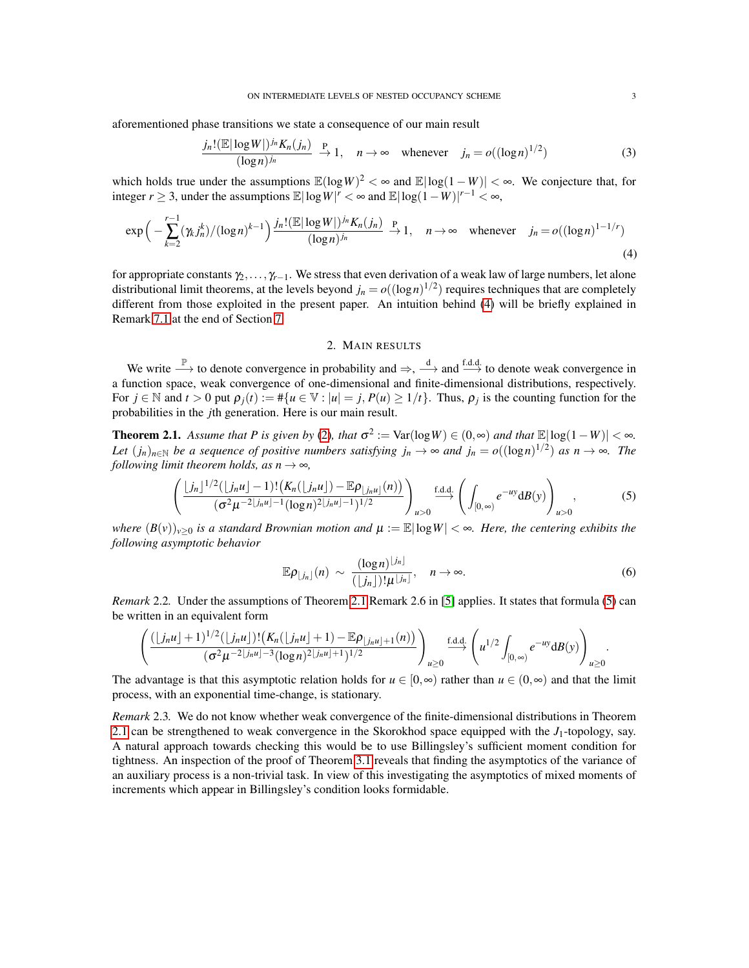aforementioned phase transitions we state a consequence of our main result

$$
\frac{j_n! (\mathbb{E}|\log W|)^{j_n} K_n(j_n)}{(\log n)^{j_n}} \xrightarrow{P} 1, \quad n \to \infty \quad \text{whenever} \quad j_n = o((\log n)^{1/2})
$$
\n(3)

which holds true under the assumptions  $\mathbb{E}(\log W)^2 < \infty$  and  $\mathbb{E}|\log(1-W)| < \infty$ . We conjecture that, for integer *r* ≥ 3, under the assumptions  $\mathbb{E}|\log W|^r < \infty$  and  $\mathbb{E}|\log(1-W)|^{r-1} < \infty$ ,

$$
\exp\left(-\sum_{k=2}^{r-1} (\gamma_k j_n^k) / (\log n)^{k-1}\right) \frac{j_n! (\mathbb{E}|\log W|)^{j_n} K_n(j_n)}{(\log n)^{j_n}} \xrightarrow{P} 1, \quad n \to \infty \quad \text{whenever} \quad j_n = o((\log n)^{1-1/r})
$$
\n(4)

for appropriate constants γ2,..., γ*r*−1. We stress that even derivation of a weak law of large numbers, let alone distributional limit theorems, at the levels beyond  $j_n = o((\log n)^{1/2})$  requires techniques that are completely different from those exploited in the present paper. An intuition behind [\(4\)](#page-2-1) will be briefly explained in Remark [7.1](#page-14-0) at the end of Section [7.](#page-13-0)

### <span id="page-2-1"></span>2. MAIN RESULTS

We write  $\stackrel{\mathbb{P}}{\longrightarrow}$  to denote convergence in probability and  $\Rightarrow$ ,  $\stackrel{d}{\longrightarrow}$  and  $\stackrel{f.d.d.}{\longrightarrow}$  to denote weak convergence in a function space, weak convergence of one-dimensional and finite-dimensional distributions, respectively. For  $j \in \mathbb{N}$  and  $t > 0$  put  $\rho_j(t) := #\{u \in \mathbb{V} : |u| = j, P(u) \ge 1/t\}$ . Thus,  $\rho_j$  is the counting function for the probabilities in the *j*th generation. Here is our main result.

<span id="page-2-0"></span>**Theorem 2.1.** Assume that P is given by [\(2\)](#page-1-1), that  $\sigma^2 := \text{Var}(\log W) \in (0, \infty)$  and that  $\mathbb{E}|\log(1-W)| < \infty$ . *Let*  $(j_n)_{n \in \mathbb{N}}$  *be a sequence of positive numbers satisfying*  $j_n \to \infty$  *and*  $j_n = o((\log n)^{1/2})$  *as*  $n \to \infty$ *. The following limit theorem holds, as*  $n \rightarrow \infty$ *,* 

<span id="page-2-2"></span>
$$
\left(\frac{\lfloor j_n\rfloor^{1/2}(\lfloor j_nu\rfloor-1)!\left(K_n(\lfloor j_nu\rfloor)-\mathbb{E}\rho_{\lfloor j_nu\rfloor}(n)\right)}{(\sigma^2\mu^{-2\lfloor j_nu\rfloor-1}(\log n)^2\lfloor j_nu\rfloor^{-1})^{1/2}}\right)_{u>0}\xrightarrow{\text{f.d.d.}}\left(\int_{[0,\infty)}e^{-uy}\text{d}B(y)\right)_{u>0},\tag{5}
$$

*where*  $(B(v))_{v>0}$  *is a standard Brownian motion and*  $\mu := \mathbb{E}|\log W| < \infty$ *. Here, the centering exhibits the following asymptotic behavior*

<span id="page-2-3"></span>
$$
\mathbb{E}\rho_{\lfloor j_n\rfloor}(n) \sim \frac{(\log n)^{\lfloor j_n\rfloor}}{(\lfloor j_n\rfloor)!\mu^{\lfloor j_n\rfloor}}, \quad n \to \infty.
$$
 (6)

*Remark* 2.2*.* Under the assumptions of Theorem [2.1](#page-2-0) Remark 2.6 in [\[5\]](#page-18-0) applies. It states that formula [\(5\)](#page-2-2) can be written in an equivalent form

$$
\left(\frac{(\lfloor j_n u \rfloor + 1)^{1/2} (\lfloor j_n u \rfloor)! (K_n(\lfloor j_n u \rfloor + 1) - \mathbb{E} \rho_{\lfloor j_n u \rfloor + 1}(n))}{(\sigma^2 \mu^{-2\lfloor j_n u \rfloor - 3} (\log n)^{2\lfloor j_n u \rfloor + 1})^{1/2}}\right)_{u \ge 0} \xrightarrow{\text{f.d.d.}} \left(u^{1/2} \int_{[0, \infty)} e^{-uy} dB(y) \right)_{u \ge 0}.
$$

The advantage is that this asymptotic relation holds for  $u \in [0, \infty)$  rather than  $u \in (0, \infty)$  and that the limit process, with an exponential time-change, is stationary.

*Remark* 2.3*.* We do not know whether weak convergence of the finite-dimensional distributions in Theorem [2.1](#page-2-0) can be strengthened to weak convergence in the Skorokhod space equipped with the *J*1-topology, say. A natural approach towards checking this would be to use Billingsley's sufficient moment condition for tightness. An inspection of the proof of Theorem [3.1](#page-4-0) reveals that finding the asymptotics of the variance of an auxiliary process is a non-trivial task. In view of this investigating the asymptotics of mixed moments of increments which appear in Billingsley's condition looks formidable.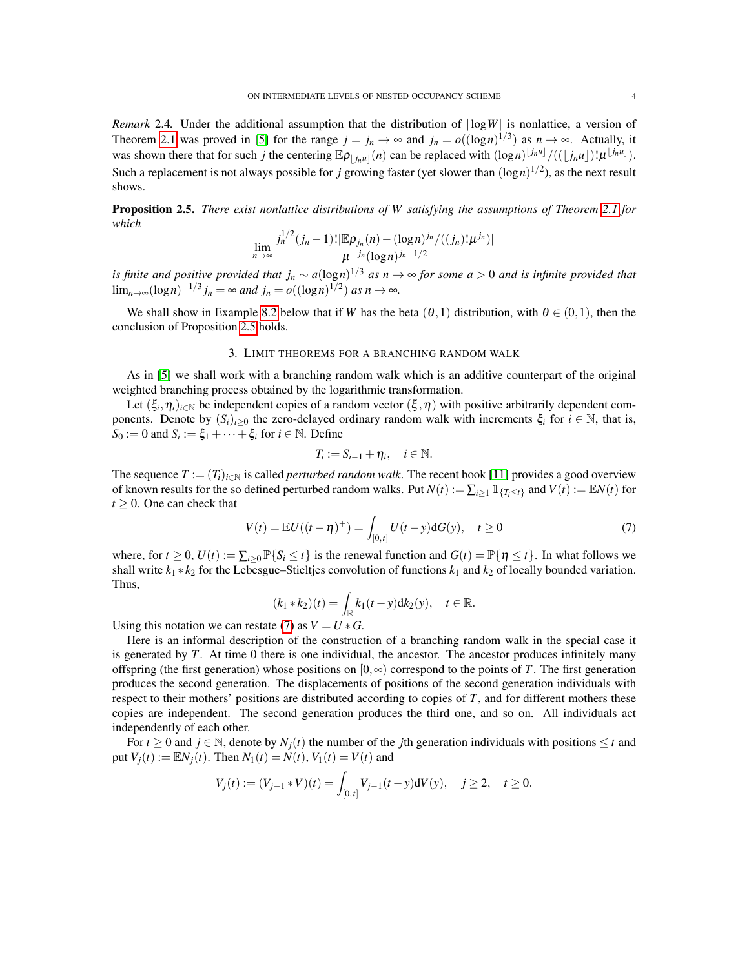*Remark* 2.4. Under the additional assumption that the distribution of  $|\log W|$  is nonlattice, a version of Theorem [2.1](#page-2-0) was proved in [\[5\]](#page-18-0) for the range  $j = j_n \to \infty$  and  $j_n = o((\log n)^{1/3})$  as  $n \to \infty$ . Actually, it was shown there that for such *j* the centering  $\mathbb{E}\rho_{\lfloor j_n u \rfloor}(n)$  can be replaced with  $(\log n)^{\lfloor j_n u \rfloor}/((\lfloor j_n u \rfloor)! \mu^{\lfloor j_n u \rfloor}).$ Such a replacement is not always possible for *j* growing faster (yet slower than  $(\log n)^{1/2}$ ), as the next result shows.

<span id="page-3-0"></span>Proposition 2.5. *There exist nonlattice distributions of W satisfying the assumptions of Theorem [2.1](#page-2-0) for which*

$$
\lim_{n\to\infty}\frac{j_n^{1/2}(j_n-1)!\vert\mathbb{E}\rho_{j_n}(n)-(\log n)^{j_n}/((j_n)!\mu^{j_n})\vert}{\mu^{-j_n}(\log n)^{j_n-1/2}}
$$

*is finite and positive provided that j<sup>n</sup>* ∼ *a*(log*n*) <sup>1</sup>/<sup>3</sup> *as n* → ∞ *for some a* > 0 *and is infinite provided that*  $\lim_{n\to\infty} (\log n)^{-1/3} j_n = \infty$  *and*  $j_n = o((\log n)^{1/2})$  *as*  $n \to \infty$ *.* 

We shall show in Example [8.2](#page-17-0) below that if *W* has the beta  $(\theta,1)$  distribution, with  $\theta \in (0,1)$ , then the conclusion of Proposition [2.5](#page-3-0) holds.

#### 3. LIMIT THEOREMS FOR A BRANCHING RANDOM WALK

As in [\[5\]](#page-18-0) we shall work with a branching random walk which is an additive counterpart of the original weighted branching process obtained by the logarithmic transformation.

Let  $(\xi_i, \eta_i)_{i \in \mathbb{N}}$  be independent copies of a random vector  $(\xi, \eta)$  with positive arbitrarily dependent components. Denote by  $(S_i)_{i\geq 0}$  the zero-delayed ordinary random walk with increments  $\xi_i$  for  $i \in \mathbb{N}$ , that is,  $S_0 := 0$  and  $S_i := \xi_1 + \cdots + \xi_i$  for  $i \in \mathbb{N}$ . Define

$$
T_i := S_{i-1} + \eta_i, \quad i \in \mathbb{N}.
$$

The sequence  $T := (T_i)_{i \in \mathbb{N}}$  is called *perturbed random walk*. The recent book [\[11\]](#page-19-5) provides a good overview of known results for the so defined perturbed random walks. Put  $N(t) := \sum_{i \ge 1} 1 \{T_i \le t\}}$  and  $V(t) := \mathbb{E} N(t)$  for  $t \geq 0$ . One can check that

<span id="page-3-1"></span>
$$
V(t) = \mathbb{E}U((t - \eta)^+) = \int_{[0, t]} U(t - y) dG(y), \quad t \ge 0
$$
 (7)

where, for  $t \ge 0$ ,  $U(t) := \sum_{i>0} \mathbb{P}\{S_i \le t\}$  is the renewal function and  $G(t) = \mathbb{P}\{\eta \le t\}$ . In what follows we shall write  $k_1 * k_2$  for the Lebesgue–Stieltjes convolution of functions  $k_1$  and  $k_2$  of locally bounded variation. Thus,

$$
(k_1 * k_2)(t) = \int_{\mathbb{R}} k_1(t - y) dk_2(y), \quad t \in \mathbb{R}.
$$

Using this notation we can restate [\(7\)](#page-3-1) as  $V = U * G$ .

Here is an informal description of the construction of a branching random walk in the special case it is generated by *T*. At time 0 there is one individual, the ancestor. The ancestor produces infinitely many offspring (the first generation) whose positions on  $[0, \infty)$  correspond to the points of *T*. The first generation produces the second generation. The displacements of positions of the second generation individuals with respect to their mothers' positions are distributed according to copies of *T*, and for different mothers these copies are independent. The second generation produces the third one, and so on. All individuals act independently of each other.

For  $t \geq 0$  and  $j \in \mathbb{N}$ , denote by  $N_i(t)$  the number of the *j*th generation individuals with positions  $\leq t$  and put  $V_i(t) := \mathbb{E} N_i(t)$ . Then  $N_1(t) = N(t), V_1(t) = V(t)$  and

$$
V_j(t) := (V_{j-1} * V)(t) = \int_{[0,t]} V_{j-1}(t-y) dV(y), \quad j \ge 2, \quad t \ge 0.
$$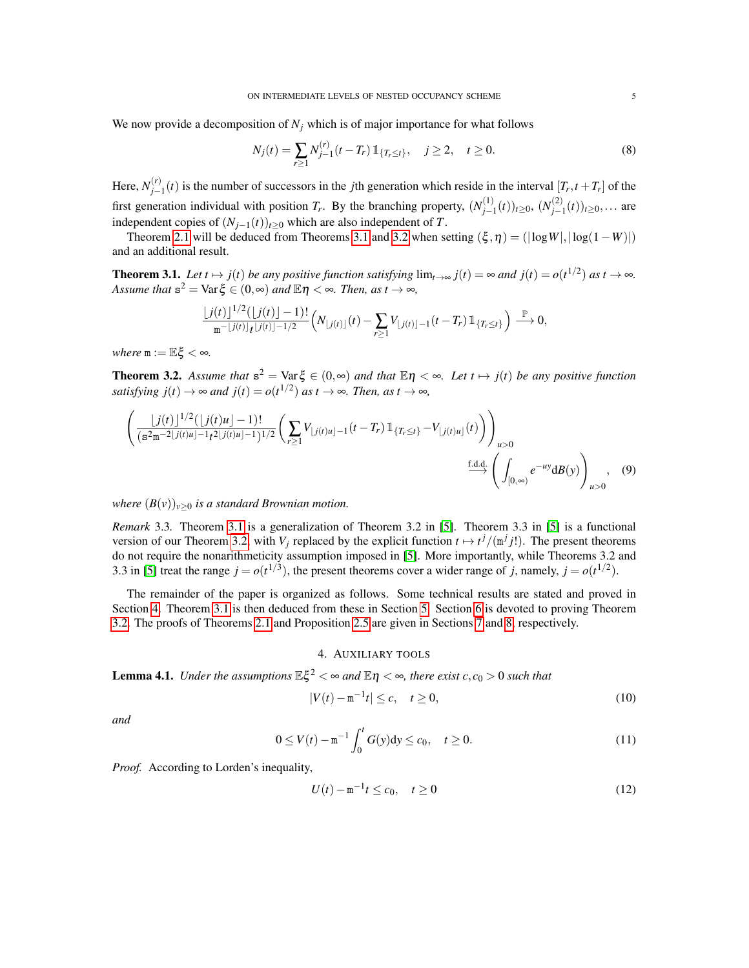We now provide a decomposition of  $N_j$  which is of major importance for what follows

<span id="page-4-5"></span>
$$
N_j(t) = \sum_{r \ge 1} N_{j-1}^{(r)}(t - T_r) \mathbb{1}_{\{T_r \le t\}}, \quad j \ge 2, \quad t \ge 0.
$$
 (8)

Here,  $N_{i-}^{(r)}$  $j_{j-1}(t)$  is the number of successors in the *j*th generation which reside in the interval  $[T_r, t + T_r]$  of the first generation individual with position  $T_r$ . By the branching property,  $(N_{j-1}^{(1)})$ *j*−1 (*t*))*t*≥0, (*N* (2) *j*−1 (*t*))*t*≥0,... are independent copies of  $(N_{i-1}(t))_{t\geq 0}$  which are also independent of *T*.

Theorem [2.1](#page-2-0) will be deduced from Theorems [3.1](#page-4-0) and [3.2](#page-4-1) when setting  $(\xi, \eta) = (|\log W|, |\log(1-W)|)$ and an additional result.

<span id="page-4-0"></span>**Theorem 3.1.** Let  $t \mapsto j(t)$  be any positive function satisfying  $\lim_{t\to\infty} j(t) = \infty$  and  $j(t) = o(t^{1/2})$  as  $t \to \infty$ . *Assume that*  $s^2 = \text{Var} \xi \in (0, \infty)$  *and*  $\mathbb{E} \eta < \infty$ *. Then, as t*  $\to \infty$ *,* 

$$
\frac{\lfloor j(t)\rfloor^{1/2}(\lfloor j(t)\rfloor-1)!}{\mathfrak{m}^{-\lfloor j(t)\rfloor}r^{\lfloor j(t)\rfloor-1/2}}\Big(N_{\lfloor j(t)\rfloor}(t)-\sum_{r\geq 1}V_{\lfloor j(t)\rfloor-1}(t-T_r)\mathbb{1}_{\{T_r\leq t\}}\Big)\overset{\mathbb{P}}{\longrightarrow} 0,
$$

*where*  $m := \mathbb{E}\xi < \infty$ .

<span id="page-4-1"></span>**Theorem 3.2.** Assume that  $s^2 = \text{Var } \xi \in (0, \infty)$  and that  $\mathbb{E} \eta < \infty$ . Let  $t \mapsto j(t)$  be any positive function *satisfying*  $j(t) \to \infty$  *and*  $j(t) = o(t^{1/2})$  *as*  $t \to \infty$ *. Then, as*  $t \to \infty$ *,* 

$$
\left(\frac{\lfloor j(t)\rfloor^{1/2}(\lfloor j(t)u\rfloor-1)!}{(s^2m^{-2}\lfloor j(t)u\rfloor-1}t^{2}\lfloor j(t)u\rfloor-1)^{1/2}}\left(\sum_{r\geq 1}V_{\lfloor j(t)u\rfloor-1}(t-T_r)\mathbb{1}_{\{T_r\leq t\}}-V_{\lfloor j(t)u\rfloor}(t)\right)\right)_{u>0}
$$
\n
$$
\xrightarrow{\text{f.d.d.}}\left(\int_{[0,\infty)}e^{-uy}\text{d}B(y)\right)_{u>0},\quad(9)
$$

*where*  $(B(v))_{v\geq0}$  *is a standard Brownian motion.* 

*Remark* 3.3*.* Theorem [3.1](#page-4-0) is a generalization of Theorem 3.2 in [\[5\]](#page-18-0). Theorem 3.3 in [\[5\]](#page-18-0) is a functional version of our Theorem [3.2,](#page-4-1) with  $V_j$  replaced by the explicit function  $t \mapsto t^j/(\mathfrak{m}^j j!)$ . The present theorems do not require the nonarithmeticity assumption imposed in [\[5\]](#page-18-0). More importantly, while Theorems 3.2 and 3.3 in [\[5\]](#page-18-0) treat the range  $j = o(t^{1/3})$ , the present theorems cover a wider range of *j*, namely,  $j = o(t^{1/2})$ .

The remainder of the paper is organized as follows. Some technical results are stated and proved in Section [4.](#page-4-2) Theorem [3.1](#page-4-0) is then deduced from these in Section [5.](#page-8-0) Section [6](#page-11-0) is devoted to proving Theorem [3.2.](#page-4-1) The proofs of Theorems [2.1](#page-2-0) and Proposition [2.5](#page-3-0) are given in Sections [7](#page-13-0) and [8,](#page-15-0) respectively.

### 4. AUXILIARY TOOLS

<span id="page-4-2"></span>**Lemma 4.1.** *Under the assumptions*  $\mathbb{E}\xi^2 < \infty$  and  $\mathbb{E}\eta < \infty$ , there exist  $c, c_0 > 0$  such that

<span id="page-4-3"></span>
$$
|V(t) - m^{-1}t| \le c, \quad t \ge 0,
$$
\n(10)

*and*

<span id="page-4-4"></span>
$$
0 \le V(t) - \mathbf{m}^{-1} \int_0^t G(y) dy \le c_0, \quad t \ge 0.
$$
 (11)

*Proof.* According to Lorden's inequality,

<span id="page-4-6"></span>
$$
U(t) - \mathbf{m}^{-1}t \le c_0, \quad t \ge 0
$$
\n(12)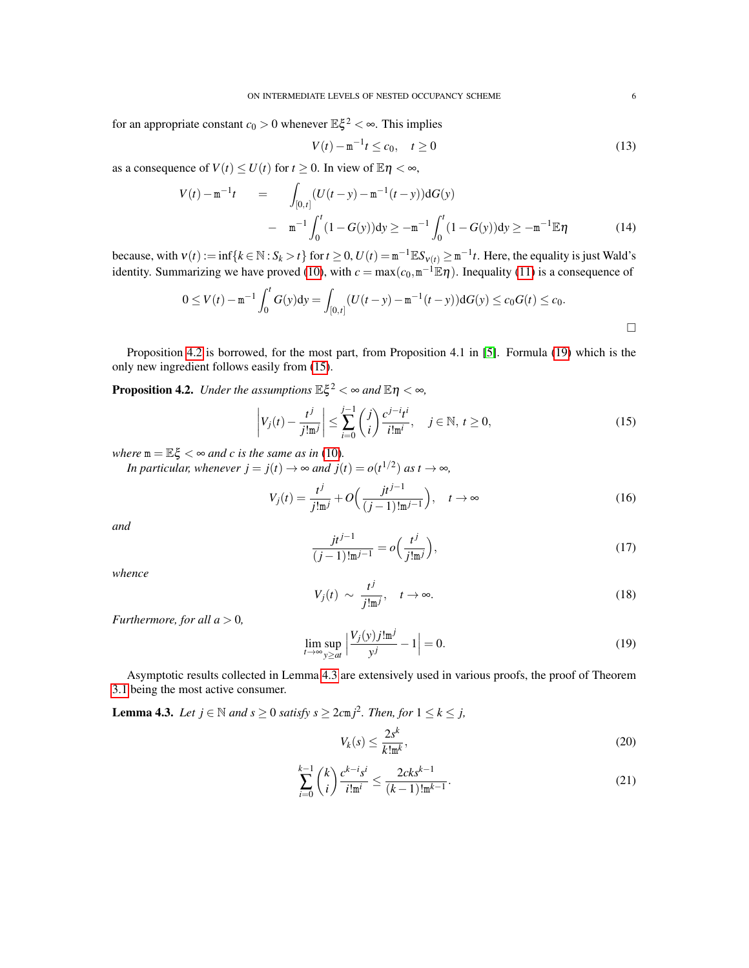for an appropriate constant  $c_0 > 0$  whenever  $\mathbb{E} \xi^2 < \infty$ . This implies

$$
V(t) - \mathbf{m}^{-1}t \le c_0, \quad t \ge 0
$$
\n(13)

as a consequence of  $V(t) \le U(t)$  for  $t \ge 0$ . In view of  $\mathbb{E} \eta < \infty$ ,

$$
V(t) - m^{-1}t = \int_{[0,t]} (U(t-y) - m^{-1}(t-y)) dG(y)
$$
  
-  $m^{-1} \int_0^t (1 - G(y)) dy \ge -m^{-1} \int_0^t (1 - G(y)) dy \ge -m^{-1} \mathbb{E} \eta$  (14)

because, with  $v(t) := \inf\{k \in \mathbb{N} : S_k > t\}$  for  $t \ge 0$ ,  $U(t) = m^{-1} \mathbb{E} S_{v(t)} \ge m^{-1}t$ . Here, the equality is just Wald's identity. Summarizing we have proved [\(10\)](#page-4-3), with  $c = max(c_0, m^{-1} \mathbb{E} \eta)$ . Inequality [\(11\)](#page-4-4) is a consequence of

$$
0 \le V(t) - \mathfrak{m}^{-1} \int_0^t G(y) dy = \int_{[0,t]} (U(t-y) - \mathfrak{m}^{-1}(t-y)) dG(y) \le c_0 G(t) \le c_0.
$$

Proposition [4.2](#page-5-0) is borrowed, for the most part, from Proposition 4.1 in [\[5\]](#page-18-0). Formula [\(19\)](#page-5-1) which is the only new ingredient follows easily from [\(15\)](#page-5-2).

<span id="page-5-0"></span>**Proposition 4.2.** *Under the assumptions*  $\mathbb{E}\xi^2 < \infty$  and  $\mathbb{E}\eta < \infty$ ,

<span id="page-5-2"></span>
$$
\left| V_j(t) - \frac{t^j}{j!m^j} \right| \le \sum_{i=0}^{j-1} {j \choose i} \frac{c^{j-i}t^i}{i!m^i}, \quad j \in \mathbb{N}, t \ge 0,
$$
\n(15)

*where*  $m = \mathbb{E}\xi < \infty$  *and c is the same as in* [\(10\)](#page-4-3).

*In particular, whenever*  $j = j(t) \rightarrow \infty$  *and*  $j(t) = o(t^{1/2})$  *as*  $t \rightarrow \infty$ *,* 

$$
V_j(t) = \frac{t^j}{j!m^j} + O\left(\frac{jt^{j-1}}{(j-1)!m^{j-1}}\right), \quad t \to \infty
$$
 (16)

*and*

$$
\frac{j t^{j-1}}{(j-1)! \mathbf{m}^{j-1}} = o\Big(\frac{t^j}{j! \mathbf{m}^j}\Big),\tag{17}
$$

*whence*

<span id="page-5-6"></span>
$$
V_j(t) \sim \frac{t^j}{j!m^j}, \quad t \to \infty.
$$
 (18)

*Furthermore, for all*  $a > 0$ *,* 

<span id="page-5-1"></span>
$$
\lim_{t \to \infty} \sup_{y \ge at} \left| \frac{V_j(y) j! \mathfrak{m}^j}{y^j} - 1 \right| = 0.
$$
\n(19)

Asymptotic results collected in Lemma [4.3](#page-5-3) are extensively used in various proofs, the proof of Theorem [3.1](#page-4-0) being the most active consumer.

<span id="page-5-3"></span>**Lemma 4.3.** *Let j* ∈  $\mathbb N$  *and s* ≥ 0 *satisfy s* ≥ 2*c*m*j*<sup>2</sup>*. Then, for* 1 ≤ *k* ≤ *j*,

<span id="page-5-4"></span>
$$
V_k(s) \le \frac{2s^k}{k! \operatorname{m}^k},\tag{20}
$$

<span id="page-5-5"></span>
$$
\sum_{i=0}^{k-1} \binom{k}{i} \frac{c^{k-i} s^i}{i! \mathfrak{m}^i} \le \frac{2c k s^{k-1}}{(k-1)! \mathfrak{m}^{k-1}}.
$$
\n(21)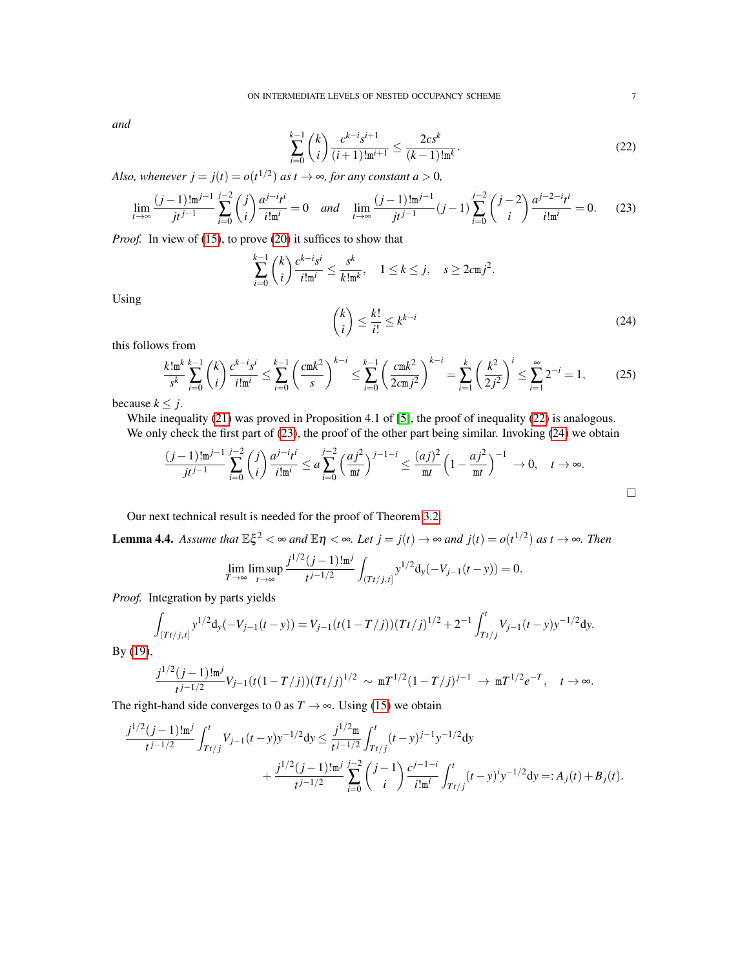*and*

<span id="page-6-0"></span>
$$
\sum_{i=0}^{k-1} \binom{k}{i} \frac{c^{k-i} s^{i+1}}{(i+1)! \mathrm{m}^{i+1}} \le \frac{2c s^k}{(k-1)! \mathrm{m}^k}.\tag{22}
$$

*Also, whenever*  $j = j(t) = o(t^{1/2})$  *as t*  $\rightarrow \infty$ *, for any constant a* > 0*,* 

<span id="page-6-1"></span>
$$
\lim_{t \to \infty} \frac{(j-1)! \operatorname{m}^{j-1}}{jt^{j-1}} \sum_{i=0}^{j-2} \binom{j}{i} \frac{a^{j-i} t^i}{i! \operatorname{m}^i} = 0 \quad \text{and} \quad \lim_{t \to \infty} \frac{(j-1)! \operatorname{m}^{j-1}}{jt^{j-1}} (j-1) \sum_{i=0}^{j-2} \binom{j-2}{i} \frac{a^{j-2-i} t^i}{i! \operatorname{m}^i} = 0. \tag{23}
$$

*Proof.* In view of [\(15\)](#page-5-2), to prove [\(20\)](#page-5-4) it suffices to show that

<span id="page-6-2"></span>
$$
\sum_{i=0}^{k-1} \binom{k}{i} \frac{c^{k-i} s^i}{i! \mathfrak{m}^i} \le \frac{s^k}{k! \mathfrak{m}^k}, \quad 1 \le k \le j, \quad s \ge 2c \mathfrak{m} j^2.
$$
\n
$$
\binom{k}{i} \le \frac{k!}{i!} \le k^{k-i}
$$
\n(24)

Using

this follows from

$$
\frac{k! \operatorname{m}^{k}}{s^{k}} \sum_{i=0}^{k-1} \binom{k}{i} \frac{c^{k-i} s^{i}}{i! \operatorname{m}^{i}} \le \sum_{i=0}^{k-1} \left(\frac{c \operatorname{m} k^{2}}{s}\right)^{k-i} \le \sum_{i=0}^{k-1} \left(\frac{c \operatorname{m} k^{2}}{2 c \operatorname{m} j^{2}}\right)^{k-i} = \sum_{i=1}^{k} \left(\frac{k^{2}}{2 j^{2}}\right)^{i} \le \sum_{i=1}^{\infty} 2^{-i} = 1, \tag{25}
$$

because  $k \leq j$ .

While inequality [\(21\)](#page-5-5) was proved in Proposition 4.1 of [\[5\]](#page-18-0), the proof of inequality [\(22\)](#page-6-0) is analogous. We only check the first part of [\(23\)](#page-6-1), the proof of the other part being similar. Invoking [\(24\)](#page-6-2) we obtain

$$
\frac{(j-1)! \operatorname{m}^{j-1}}{jt^{j-1}} \sum_{i=0}^{j-2} \binom{j}{i} \frac{a^{j-i} t^i}{i! \operatorname{m}^i} \le a \sum_{i=0}^{j-2} \left(\frac{a j^2}{\operatorname{m} t}\right)^{j-1-i} \le \frac{(a j)^2}{\operatorname{m} t} \left(1 - \frac{a j^2}{\operatorname{m} t}\right)^{-1} \to 0, \quad t \to \infty.
$$

Our next technical result is needed for the proof of Theorem [3.2.](#page-4-1)

<span id="page-6-3"></span>**Lemma 4.4.** Assume that  $\mathbb{E}\xi^2 < \infty$  and  $\mathbb{E}\eta < \infty$ . Let  $j = j(t) \to \infty$  and  $j(t) = o(t^{1/2})$  as  $t \to \infty$ . Then  $j^{1/2}(j-1)!$ m $^j$ 

$$
\lim_{T \to \infty} \limsup_{t \to \infty} \frac{j^{1/2} (j-1)! \mathfrak{m}^j}{t^{j-1/2}} \int_{(Tt/j, t]} y^{1/2} d_y(-V_{j-1}(t-y)) = 0.
$$

*Proof.* Integration by parts yields

$$
\int_{(Tt/j,t]} y^{1/2} d_y(-V_{j-1}(t-y)) = V_{j-1}(t(1-T/j))(Tt/j)^{1/2} + 2^{-1} \int_{Tt/j}^t V_{j-1}(t-y) y^{-1/2} dy.
$$

By [\(19\)](#page-5-1),

$$
\frac{j^{1/2}(j-1)!m^j}{t^{j-1/2}}V_{j-1}(t(1-T/j))(Tt/j)^{1/2} \sim mT^{1/2}(1-T/j)^{j-1} \to mT^{1/2}e^{-T}, \quad t \to \infty.
$$

The right-hand side converges to 0 as  $T \rightarrow \infty$ . Using [\(15\)](#page-5-2) we obtain

$$
\frac{j^{1/2}(j-1)!m^j}{t^{j-1/2}} \int_{Tt/j}^t V_{j-1}(t-y)y^{-1/2}dy \le \frac{j^{1/2}m}{t^{j-1/2}} \int_{Tt/j}^t (t-y)^{j-1}y^{-1/2}dy \n+ \frac{j^{1/2}(j-1)!m^j}{t^{j-1/2}} \sum_{i=0}^{j-2} {j-1 \choose i} \frac{c^{j-1-i}}{i!m^i} \int_{Tt/j}^t (t-y)^i y^{-1/2} dy =: A_j(t) + B_j(t).
$$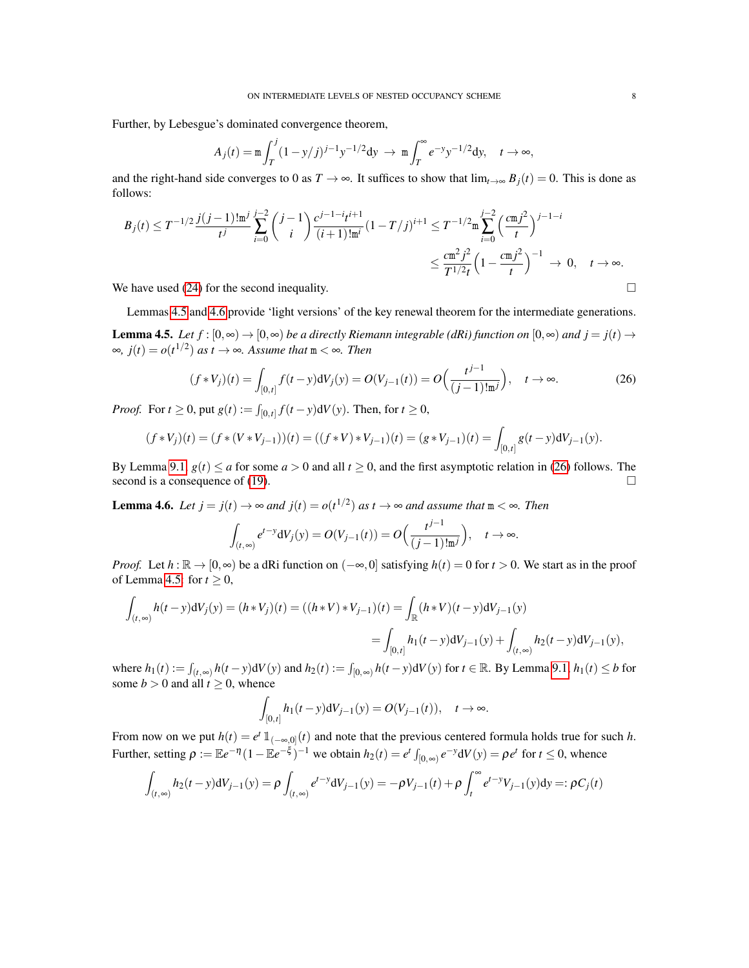Further, by Lebesgue's dominated convergence theorem,

$$
A_j(t) = \mathfrak{m} \int_T^j (1 - y/j)^{j-1} y^{-1/2} dy \to \mathfrak{m} \int_T^\infty e^{-y} y^{-1/2} dy, \quad t \to \infty,
$$

and the right-hand side converges to 0 as  $T \to \infty$ . It suffices to show that  $\lim_{t\to\infty} B_i(t) = 0$ . This is done as follows:

$$
B_j(t) \leq T^{-1/2} \frac{j(j-1)! \mathfrak{m}^j}{t^j} \sum_{i=0}^{j-2} {j-1 \choose i} \frac{c^{j-1-i} t^{i+1}}{(i+1)! \mathfrak{m}^i} (1-T/j)^{i+1} \leq T^{-1/2} \mathfrak{m} \sum_{i=0}^{j-2} \left( \frac{c \mathfrak{m} j^2}{t} \right)^{j-1-i}
$$
  

$$
\leq \frac{c \mathfrak{m}^2 j^2}{T^{1/2} t} \left(1 - \frac{c \mathfrak{m} j^2}{t}\right)^{-1} \to 0, \quad t \to \infty.
$$

We have used [\(24\)](#page-6-2) for the second inequality.  $\Box$ 

<span id="page-7-0"></span>Lemmas [4.5](#page-7-0) and [4.6](#page-7-1) provide 'light versions' of the key renewal theorem for the intermediate generations. **Lemma 4.5.** *Let*  $f : [0, \infty) \to [0, \infty)$  *be a directly Riemann integrable (dRi) function on*  $[0, \infty)$  *and*  $j = j(t) \to j(t)$ ∞,  $j(t) = o(t^{1/2})$  *as t* → ∞*. Assume that* m < ∞*. Then* 

<span id="page-7-2"></span>
$$
(f * V_j)(t) = \int_{[0,t]} f(t - y) dV_j(y) = O(V_{j-1}(t)) = O\Big(\frac{t^{j-1}}{(j-1)!m^j}\Big), \quad t \to \infty.
$$
 (26)

*Proof.* For  $t \ge 0$ , put  $g(t) := \int_{[0,t]} f(t - y) dV(y)$ . Then, for  $t \ge 0$ ,

$$
(f*V_j)(t) = (f*(V*V_{j-1}))(t) = ((f*V)*V_{j-1})(t) = (g*V_{j-1})(t) = \int_{[0,t]} g(t-y) dV_{j-1}(y).
$$

By Lemma [9.1,](#page-17-1)  $g(t) \le a$  for some  $a > 0$  and all  $t \ge 0$ , and the first asymptotic relation in [\(26\)](#page-7-2) follows. The second is a consequence of [\(19\)](#page-5-1).  $\Box$ 

<span id="page-7-1"></span>**Lemma 4.6.** *Let*  $j = j(t) \rightarrow \infty$  *and*  $j(t) = o(t^{1/2})$  *as*  $t \rightarrow \infty$  *and assume that*  $m < \infty$ *. Then* 

$$
\int_{(t,\infty)} e^{t-y} dV_j(y) = O(V_{j-1}(t)) = O\Big(\frac{t^{j-1}}{(j-1)!m^j}\Big), \quad t \to \infty.
$$

*Proof.* Let  $h : \mathbb{R} \to [0, \infty)$  be a dRi function on  $(-\infty, 0]$  satisfying  $h(t) = 0$  for  $t > 0$ . We start as in the proof of Lemma [4.5:](#page-7-0) for  $t \geq 0$ ,

$$
\int_{(t,\infty)} h(t-y) dV_j(y) = (h * V_j)(t) = ((h * V) * V_{j-1})(t) = \int_{\mathbb{R}} (h * V)(t-y) dV_{j-1}(y)
$$
  
= 
$$
\int_{[0,t]} h_1(t-y) dV_{j-1}(y) + \int_{(t,\infty)} h_2(t-y) dV_{j-1}(y),
$$

where  $h_1(t) := \int_{(t,\infty)} h(t-y) dV(y)$  and  $h_2(t) := \int_{[0,\infty)} h(t-y) dV(y)$  for  $t \in \mathbb{R}$ . By Lemma [9.1,](#page-17-1)  $h_1(t) \le b$  for some  $b > 0$  and all  $t \ge 0$ , whence

$$
\int_{[0,t]} h_1(t-y) dV_{j-1}(y) = O(V_{j-1}(t)), \quad t \to \infty.
$$

From now on we put  $h(t) = e^t \mathbb{1}_{(-\infty,0]}(t)$  and note that the previous centered formula holds true for such *h*. Further, setting  $\rho := \mathbb{E}e^{-\eta}(1-\mathbb{E}e^{-\xi})^{-1}$  we obtain  $h_2(t) = e^t \int_{[0,\infty)} e^{-y} dV(y) = \rho e^t$  for  $t \le 0$ , whence

$$
\int_{(t,\infty)} h_2(t-y) dV_{j-1}(y) = \rho \int_{(t,\infty)} e^{t-y} dV_{j-1}(y) = -\rho V_{j-1}(t) + \rho \int_t^{\infty} e^{t-y} V_{j-1}(y) dy =: \rho C_j(t)
$$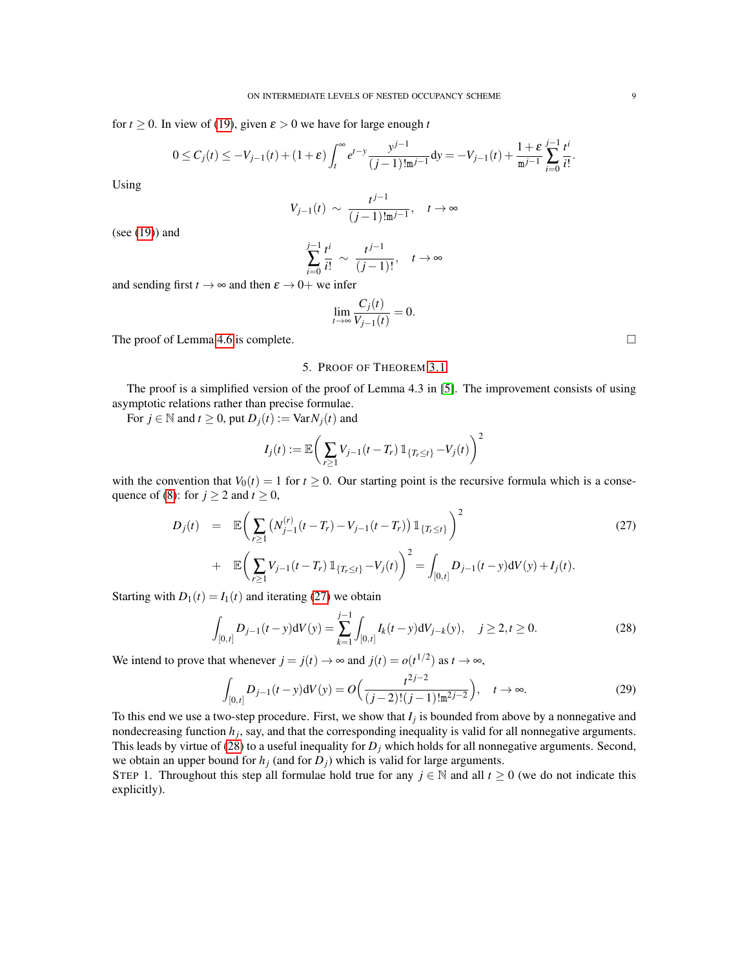for  $t \ge 0$ . In view of [\(19\)](#page-5-1), given  $\varepsilon > 0$  we have for large enough *t* 

$$
0 \leq C_j(t) \leq -V_{j-1}(t)+(1+\varepsilon)\int_t^{\infty}e^{t-y}\frac{y^{j-1}}{(j-1)!\mathtt{m}^{j-1}}\mathtt{d}y=-V_{j-1}(t)+\frac{1+\varepsilon}{\mathtt{m}^{j-1}}\sum_{i=0}^{j-1}\frac{t^i}{i!}.
$$

Using

$$
V_{j-1}(t) \sim \frac{t^{j-1}}{(j-1)! \mathfrak{m}^{j-1}}, \quad t \to \infty
$$

(see [\(19\)](#page-5-1)) and

$$
\sum_{i=0}^{j-1} \frac{t^i}{i!} \sim \frac{t^{j-1}}{(j-1)!}, \quad t \to \infty
$$

and sending first  $t \to \infty$  and then  $\varepsilon \to 0+$  we infer

$$
\lim_{t\to\infty}\frac{C_j(t)}{V_{j-1}(t)}=0.
$$

The proof of Lemma [4.6](#page-7-1) is complete.

### 5. PROOF OF THEOREM [3.1](#page-4-0)

<span id="page-8-0"></span>The proof is a simplified version of the proof of Lemma 4.3 in [\[5\]](#page-18-0). The improvement consists of using asymptotic relations rather than precise formulae.

For  $j \in \mathbb{N}$  and  $t \geq 0$ , put  $D_j(t) := \text{Var} N_j(t)$  and

$$
I_j(t) := \mathbb{E}\bigg(\sum_{r\geq 1} V_{j-1}(t-T_r) 1\!\!1_{\{T_r\leq t\}} - V_j(t)\bigg)^2
$$

with the convention that  $V_0(t) = 1$  for  $t \ge 0$ . Our starting point is the recursive formula which is a conse-quence of [\(8\)](#page-4-5): for  $j \ge 2$  and  $t \ge 0$ ,

<span id="page-8-1"></span>
$$
D_j(t) = \mathbb{E}\left(\sum_{r\geq 1} \left(N_{j-1}^{(r)}(t-T_r) - V_{j-1}(t-T_r)\right) \mathbb{1}_{\{T_r \leq t\}}\right)^2 + \mathbb{E}\left(\sum_{r\geq 1} V_{j-1}(t-T_r) \mathbb{1}_{\{T_r \leq t\}} - V_j(t)\right)^2 = \int_{[0,t]} D_{j-1}(t-y) dV(y) + I_j(t).
$$
\n(27)

Starting with  $D_1(t) = I_1(t)$  and iterating [\(27\)](#page-8-1) we obtain

<span id="page-8-2"></span>
$$
\int_{[0,t]} D_{j-1}(t-y) dV(y) = \sum_{k=1}^{j-1} \int_{[0,t]} I_k(t-y) dV_{j-k}(y), \quad j \ge 2, t \ge 0.
$$
 (28)

We intend to prove that whenever  $j = j(t) \rightarrow \infty$  and  $j(t) = o(t^{1/2})$  as  $t \rightarrow \infty$ ,

<span id="page-8-3"></span>
$$
\int_{[0,t]} D_{j-1}(t-y) dV(y) = O\Big(\frac{t^{2j-2}}{(j-2)!(j-1)!m^{2j-2}}\Big), \quad t \to \infty.
$$
 (29)

To this end we use a two-step procedure. First, we show that *I<sup>j</sup>* is bounded from above by a nonnegative and nondecreasing function *h<sup>j</sup>* , say, and that the corresponding inequality is valid for all nonnegative arguments. This leads by virtue of [\(28\)](#page-8-2) to a useful inequality for  $D_j$  which holds for all nonnegative arguments. Second, we obtain an upper bound for  $h_j$  (and for  $D_j$ ) which is valid for large arguments.

STEP 1. Throughout this step all formulae hold true for any  $j \in \mathbb{N}$  and all  $t \ge 0$  (we do not indicate this explicitly).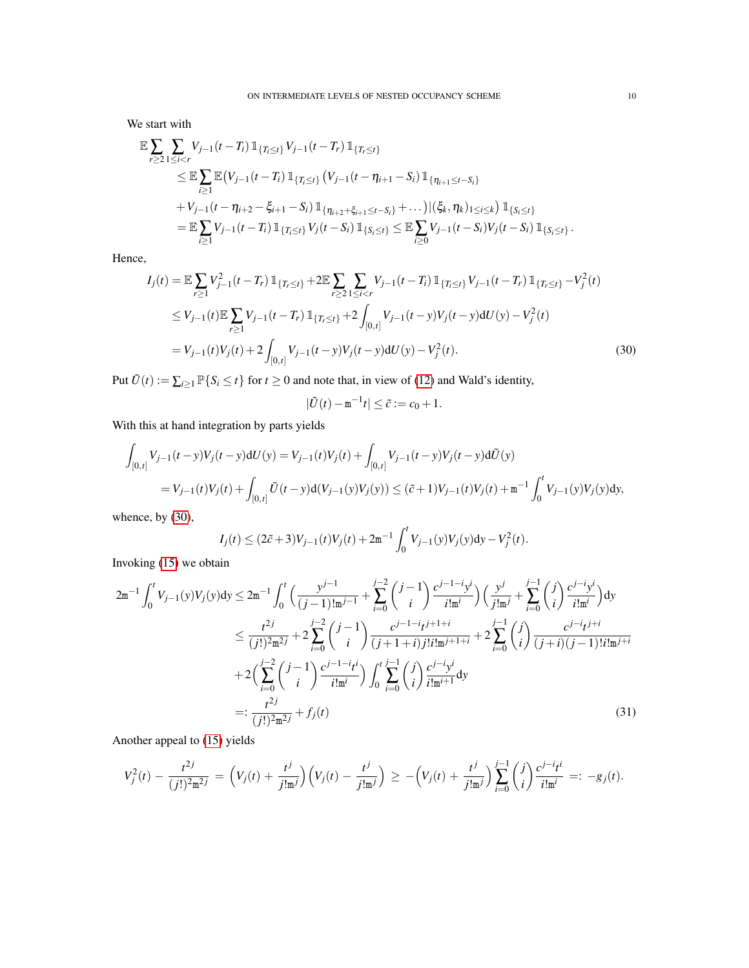We start with

$$
\mathbb{E} \sum_{r \geq 2} \sum_{1 \leq i < r} V_{j-1}(t-T_i) \mathbb{1}_{\{T_i \leq t\}} V_{j-1}(t-T_r) \mathbb{1}_{\{T_r \leq t\}} \n\leq \mathbb{E} \sum_{i \geq 1} \mathbb{E} \left( V_{j-1}(t-T_i) \mathbb{1}_{\{T_i \leq t\}} \left( V_{j-1}(t-\eta_{i+1}-S_i) \mathbb{1}_{\{\eta_{i+1} \leq t-S_i\}} \right) \right. \n+ V_{j-1}(t-\eta_{i+2}-\xi_{i+1}-S_i) \mathbb{1}_{\{\eta_{i+2}+\xi_{i+1} \leq t-S_i\}} + \dots) |(\xi_k, \eta_k)_{1 \leq i \leq k} \mathbb{1}_{\{S_i \leq t\}} \n= \mathbb{E} \sum_{i \geq 1} V_{j-1}(t-T_i) \mathbb{1}_{\{T_i \leq t\}} V_j(t-S_i) \mathbb{1}_{\{S_i \leq t\}} \leq \mathbb{E} \sum_{i \geq 0} V_{j-1}(t-S_i) V_j(t-S_i) \mathbb{1}_{\{S_i \leq t\}}.
$$

Hence,

$$
I_j(t) = \mathbb{E} \sum_{r \ge 1} V_{j-1}^2(t - T_r) \mathbb{1}_{\{T_r \le t\}} + 2 \mathbb{E} \sum_{r \ge 2} \sum_{1 \le i < r} V_{j-1}(t - T_i) \mathbb{1}_{\{T_i \le t\}} V_{j-1}(t - T_r) \mathbb{1}_{\{T_r \le t\}} - V_j^2(t)
$$
\n
$$
\le V_{j-1}(t) \mathbb{E} \sum_{r \ge 1} V_{j-1}(t - T_r) \mathbb{1}_{\{T_r \le t\}} + 2 \int_{[0,t]} V_{j-1}(t - y) V_j(t - y) dU(y) - V_j^2(t)
$$
\n
$$
= V_{j-1}(t) V_j(t) + 2 \int_{[0,t]} V_{j-1}(t - y) V_j(t - y) dU(y) - V_j^2(t). \tag{30}
$$

Put  $\tilde{U}(t) := \sum_{i \geq 1} \mathbb{P}\{S_i \leq t\}$  for  $t \geq 0$  and note that, in view of [\(12\)](#page-4-6) and Wald's identity,

<span id="page-9-1"></span><span id="page-9-0"></span>
$$
|\tilde{U}(t)-\mathbf{m}^{-1}t|\leq \tilde{c}:=c_0+1.
$$

With this at hand integration by parts yields

$$
\int_{[0,t]} V_{j-1}(t-y)V_j(t-y) dU(y) = V_{j-1}(t)V_j(t) + \int_{[0,t]} V_{j-1}(t-y)V_j(t-y) d\tilde{U}(y)
$$
  
=  $V_{j-1}(t)V_j(t) + \int_{[0,t]} \tilde{U}(t-y) d(V_{j-1}(y)V_j(y)) \le (\tilde{c}+1)V_{j-1}(t)V_j(t) + \mathbf{m}^{-1} \int_0^t V_{j-1}(y)V_j(y) dy,$ 

whence, by [\(30\)](#page-9-0),

$$
I_j(t) \le (2\tilde{c}+3)V_{j-1}(t)V_j(t) + 2\mathfrak{m}^{-1} \int_0^t V_{j-1}(y)V_j(y)dy - V_j^2(t).
$$

Invoking [\(15\)](#page-5-2) we obtain

$$
2m^{-1} \int_{0}^{t} V_{j-1}(y)V_{j}(y)dy \leq 2m^{-1} \int_{0}^{t} \left(\frac{y^{j-1}}{(j-1)!m^{j-1}} + \sum_{i=0}^{j-2} {j-1 \choose i} \frac{c^{j-1-i}y^{i}}{i!m^{i}}\right) \left(\frac{y^{j}}{j!m^{j}} + \sum_{i=0}^{j-1} {j \choose i} \frac{c^{j-i}y^{i}}{i!m^{i}}\right) dy
$$
  
\n
$$
\leq \frac{t^{2j}}{(j!)^{2}m^{2j}} + 2 \sum_{i=0}^{j-2} {j-1 \choose i} \frac{c^{j-1-i}t^{j+1+i}}{(j+1+i)j!i!m^{j+1+i}} + 2 \sum_{i=0}^{j-1} {j \choose i} \frac{c^{j-i}t^{j+i}}{(j+i)(j-1)!i!m^{j+i}}
$$
  
\n
$$
+ 2\left(\sum_{i=0}^{j-2} {j-1 \choose i} \frac{c^{j-1-i}t^{i}}{i!m^{i}}\right) \int_{0}^{t} \sum_{i=0}^{j-1} {j \choose i} \frac{c^{j-i}y^{i}}{i!m^{i+1}} dy
$$
  
\n
$$
=:\frac{t^{2j}}{(j!)^{2}m^{2j}} + f_{j}(t)
$$
  
\n(31)

Another appeal to [\(15\)](#page-5-2) yields

$$
V_j^2(t) - \frac{t^{2j}}{(j!)^2 m^{2j}} = \left(V_j(t) + \frac{t^j}{j! m^j}\right) \left(V_j(t) - \frac{t^j}{j! m^j}\right) \geq -\left(V_j(t) + \frac{t^j}{j! m^j}\right) \sum_{i=0}^{j-1} {j \choose i} \frac{c^{j-i} t^i}{i! m^i} =: -g_j(t).
$$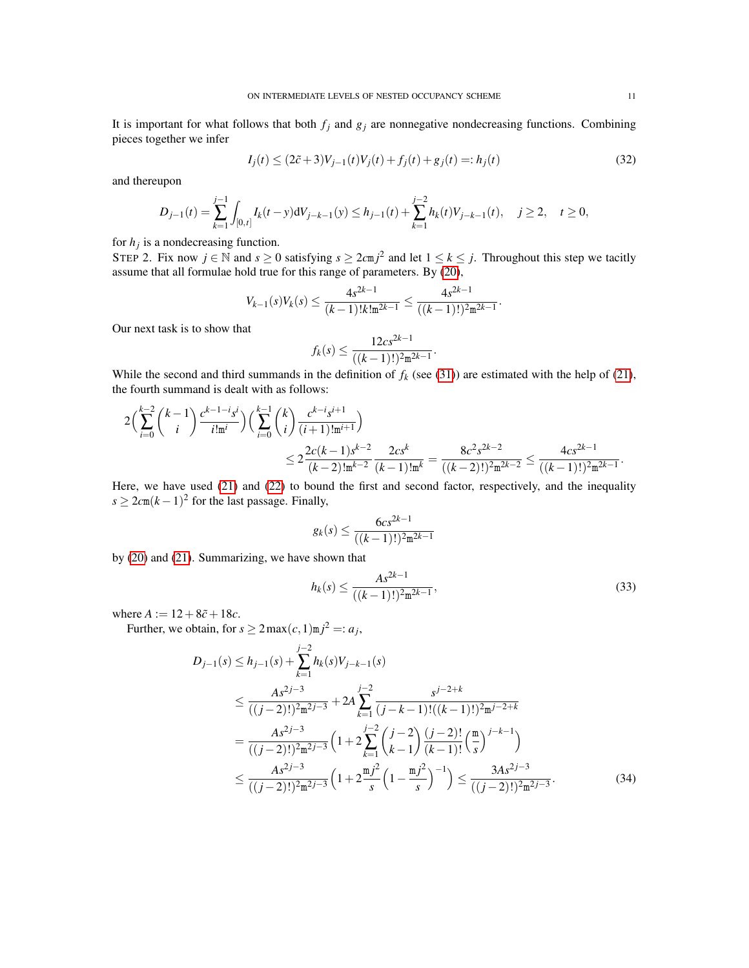It is important for what follows that both  $f_j$  and  $g_j$  are nonnegative nondecreasing functions. Combining pieces together we infer

<span id="page-10-0"></span>
$$
I_j(t) \le (2\tilde{c} + 3)V_{j-1}(t)V_j(t) + f_j(t) + g_j(t) =: h_j(t)
$$
\n(32)

and thereupon

$$
D_{j-1}(t) = \sum_{k=1}^{j-1} \int_{[0,t]} I_k(t-y) dV_{j-k-1}(y) \le h_{j-1}(t) + \sum_{k=1}^{j-2} h_k(t) V_{j-k-1}(t), \quad j \ge 2, \quad t \ge 0,
$$

for  $h_j$  is a nondecreasing function.

STEP 2. Fix now  $j \in \mathbb{N}$  and  $s \ge 0$  satisfying  $s \ge 2cmj^2$  and let  $1 \le k \le j$ . Throughout this step we tacitly assume that all formulae hold true for this range of parameters. By [\(20\)](#page-5-4),

$$
V_{k-1}(s)V_k(s) \leq \frac{4s^{2k-1}}{(k-1)!k!m^{2k-1}} \leq \frac{4s^{2k-1}}{((k-1)!)^2m^{2k-1}}.
$$

Our next task is to show that

$$
f_k(s) \le \frac{12cs^{2k-1}}{((k-1)!)^2 \mathfrak{m}^{2k-1}}.
$$

While the second and third summands in the definition of  $f_k$  (see [\(31\)](#page-9-1)) are estimated with the help of [\(21\)](#page-5-5), the fourth summand is dealt with as follows:

$$
2\left(\sum_{i=0}^{k-2} {k-1 \choose i} \frac{c^{k-1-i} s^i}{i! \mathfrak{m}^i}\right) \left(\sum_{i=0}^{k-1} {k \choose i} \frac{c^{k-i} s^{i+1}}{(i+1)! \mathfrak{m}^{i+1}}\right) \n\leq 2 \frac{2c(k-1) s^{k-2}}{(k-2)! \mathfrak{m}^{k-2}} \frac{2cs^k}{(k-1)! \mathfrak{m}^k} = \frac{8c^2 s^{2k-2}}{((k-2)!)^2 \mathfrak{m}^{2k-2}} \leq \frac{4cs^{2k-1}}{((k-1)!)^2 \mathfrak{m}^{2k-1}}.
$$

Here, we have used [\(21\)](#page-5-5) and [\(22\)](#page-6-0) to bound the first and second factor, respectively, and the inequality  $s \geq 2c(m(k-1)^2)$  for the last passage. Finally,

$$
g_k(s) \le \frac{6cs^{2k-1}}{((k-1)!)^2 \mathfrak{m}^{2k-1}}
$$

by [\(20\)](#page-5-4) and [\(21\)](#page-5-5). Summarizing, we have shown that

<span id="page-10-2"></span><span id="page-10-1"></span>
$$
h_k(s) \le \frac{As^{2k-1}}{((k-1)!)^2 m^{2k-1}},\tag{33}
$$

where  $A := 12 + 8\tilde{c} + 18c$ .

Further, we obtain, for  $s \ge 2 \max(c, 1) \infty j^2 =: a_j$ ,

$$
D_{j-1}(s) \leq h_{j-1}(s) + \sum_{k=1}^{j-2} h_k(s) V_{j-k-1}(s)
$$
  
\n
$$
\leq \frac{As^{2j-3}}{((j-2)!)^2 m^{2j-3}} + 2A \sum_{k=1}^{j-2} \frac{s^{j-2+k}}{(j-k-1)!((k-1)!)^2 m^{j-2+k}}
$$
  
\n
$$
= \frac{As^{2j-3}}{((j-2)!)^2 m^{2j-3}} \left(1 + 2 \sum_{k=1}^{j-2} {j-2 \choose k-1} \frac{(j-2)!}{(k-1)!} {\binom{m}{s}}^{j-k-1}\right)
$$
  
\n
$$
\leq \frac{As^{2j-3}}{((j-2)!)^2 m^{2j-3}} \left(1 + 2 \frac{m j^2}{s} \left(1 - \frac{m j^2}{s}\right)^{-1}\right) \leq \frac{3As^{2j-3}}{((j-2)!)^2 m^{2j-3}}.
$$
 (34)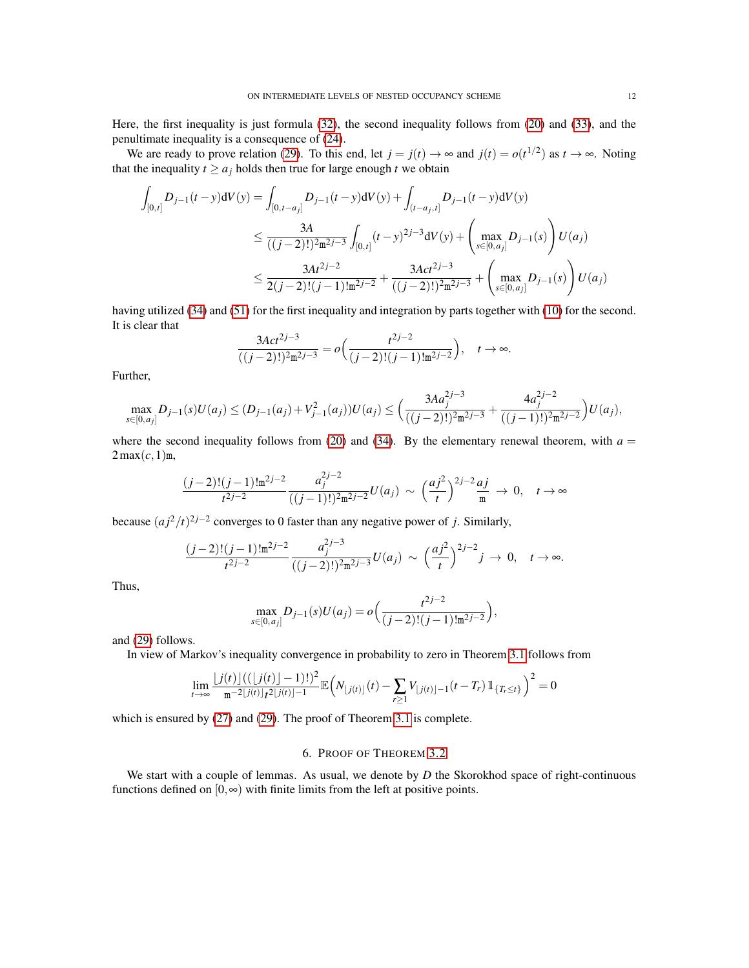Here, the first inequality is just formula [\(32\)](#page-10-0), the second inequality follows from [\(20\)](#page-5-4) and [\(33\)](#page-10-1), and the penultimate inequality is a consequence of [\(24\)](#page-6-2).

We are ready to prove relation [\(29\)](#page-8-3). To this end, let  $j = j(t) \rightarrow \infty$  and  $j(t) = o(t^{1/2})$  as  $t \rightarrow \infty$ . Noting that the inequality  $t \ge a_j$  holds then true for large enough *t* we obtain

$$
\int_{[0,t]} D_{j-1}(t-y) dV(y) = \int_{[0,t-a_j]} D_{j-1}(t-y) dV(y) + \int_{(t-a_j,t]} D_{j-1}(t-y) dV(y)
$$
\n
$$
\leq \frac{3A}{((j-2)!)^2 \pi^{2j-3}} \int_{[0,t]} (t-y)^{2j-3} dV(y) + \left(\max_{s \in [0,a_j]} D_{j-1}(s)\right) U(a_j)
$$
\n
$$
\leq \frac{3At^{2j-2}}{2(j-2)!(j-1)! \pi^{2j-2}} + \frac{3Act^{2j-3}}{((j-2)!)^2 \pi^{2j-3}} + \left(\max_{s \in [0,a_j]} D_{j-1}(s)\right) U(a_j)
$$

having utilized [\(34\)](#page-10-2) and [\(51\)](#page-17-2) for the first inequality and integration by parts together with [\(10\)](#page-4-3) for the second. It is clear that

$$
\frac{3Act^{2j-3}}{((j-2)!)^2 \mathfrak{m}^{2j-3}} = o\Big(\frac{t^{2j-2}}{(j-2)!(j-1)!\mathfrak{m}^{2j-2}}\Big), \quad t \to \infty.
$$

Further,

$$
\max_{s \in [0, a_j]} D_{j-1}(s)U(a_j) \le (D_{j-1}(a_j) + V_{j-1}^2(a_j))U(a_j) \le \left(\frac{3Aa_j^{2j-3}}{((j-2)!)^2 \mathfrak{m}^{2j-3}} + \frac{4a_j^{2j-2}}{((j-1)!)^2 \mathfrak{m}^{2j-2}}\right)U(a_j),
$$

where the second inequality follows from [\(20\)](#page-5-4) and [\(34\)](#page-10-2). By the elementary renewal theorem, with  $a =$  $2\max(c,1)$ m,

$$
\frac{(j-2)!(j-1)! \mathfrak{m}^{2j-2}}{t^{2j-2}} \frac{a_j^{2j-2}}{((j-1)!)^2 \mathfrak{m}^{2j-2}} U(a_j) \sim \left(\frac{aj^2}{t}\right)^{2j-2} \frac{aj}{\mathfrak{m}} \to 0, \quad t \to \infty
$$

because  $(a j^2 / t)^{2j-2}$  converges to 0 faster than any negative power of *j*. Similarly,

$$
\frac{(j-2)!(j-1)! \mathfrak{m}^{2j-2}}{t^{2j-2}} \frac{a_j^{2j-3}}{((j-2)!)^2 \mathfrak{m}^{2j-3}} U(a_j) \sim \left(\frac{aj^2}{t}\right)^{2j-2} j \to 0, \quad t \to \infty.
$$

Thus,

$$
\max_{s \in [0, a_j]} D_{j-1}(s)U(a_j) = o\Big(\frac{t^{2j-2}}{(j-2)!(j-1)!m^{2j-2}}\Big),\,
$$

and [\(29\)](#page-8-3) follows.

In view of Markov's inequality convergence in probability to zero in Theorem [3.1](#page-4-0) follows from

$$
\lim_{t \to \infty} \frac{|j(t)|((|j(t)|-1)!)^2}{m^{-2}|j(t)|} \mathbb{E}\Big(N_{\lfloor j(t)\rfloor}(t) - \sum_{r \ge 1} V_{\lfloor j(t)\rfloor-1}(t-T_r) \mathbb{1}_{\{T_r \le t\}}\Big)^2 = 0
$$

which is ensured by [\(27\)](#page-8-1) and [\(29\)](#page-8-3). The proof of Theorem [3.1](#page-4-0) is complete.

# 6. PROOF OF THEOREM [3.2](#page-4-1)

<span id="page-11-0"></span>We start with a couple of lemmas. As usual, we denote by *D* the Skorokhod space of right-continuous functions defined on  $[0, \infty)$  with finite limits from the left at positive points.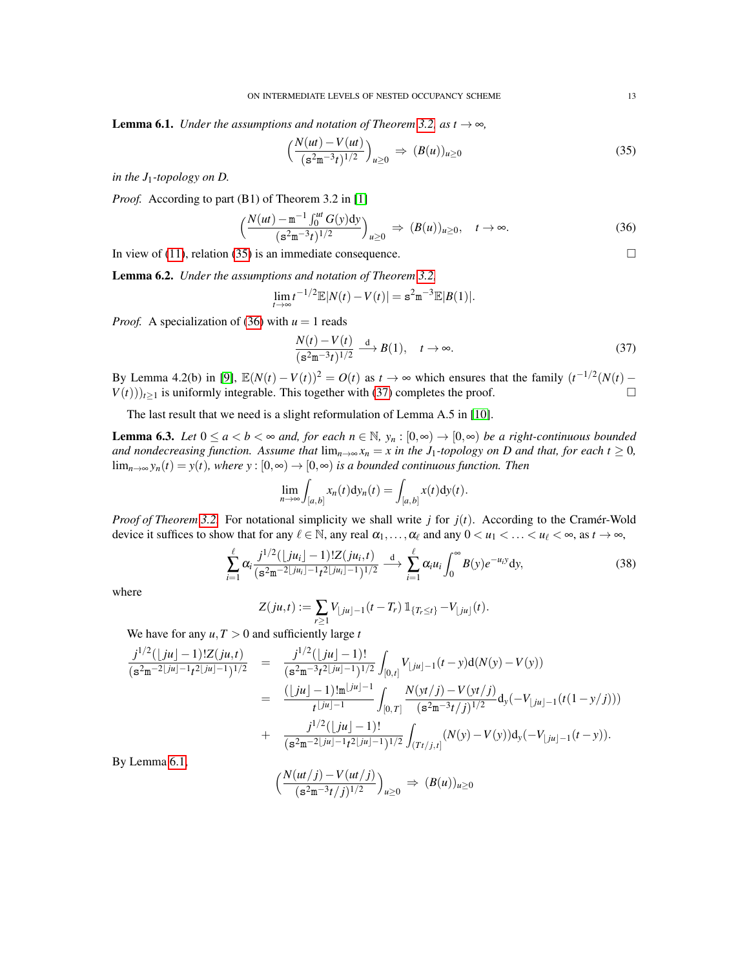<span id="page-12-3"></span>**Lemma 6.1.** *Under the assumptions and notation of Theorem [3.2,](#page-4-1) as t*  $\rightarrow \infty$ *,* 

<span id="page-12-0"></span>
$$
\left(\frac{N(ut) - V(ut)}{(s^2m^{-3}t)^{1/2}}\right)_{u \ge 0} \Rightarrow (B(u))_{u \ge 0} \tag{35}
$$

*in the J*1*-topology on D.*

*Proof.* According to part (B1) of Theorem 3.2 in [\[1\]](#page-18-3)

<span id="page-12-1"></span>
$$
\left(\frac{N(ut) - m^{-1} \int_0^{ut} G(y) dy}{(s^2 m^{-3} t)^{1/2}}\right)_{u \ge 0} \Rightarrow (B(u))_{u \ge 0}, \quad t \to \infty.
$$
 (36)

In view of [\(11\)](#page-4-4), relation [\(35\)](#page-12-0) is an immediate consequence.  $\Box$ 

<span id="page-12-5"></span>Lemma 6.2. *Under the assumptions and notation of Theorem [3.2,](#page-4-1)*

$$
\lim_{t \to \infty} t^{-1/2} \mathbb{E}|N(t) - V(t)| = \mathbf{s}^2 \mathbf{m}^{-3} \mathbb{E}|B(1)|.
$$

*Proof.* A specialization of [\(36\)](#page-12-1) with  $u = 1$  reads

<span id="page-12-2"></span>
$$
\frac{N(t) - V(t)}{(s^2 m^{-3} t)^{1/2}} \xrightarrow{d} B(1), \quad t \to \infty.
$$
 (37)

By Lemma 4.2(b) in [\[9\]](#page-19-1),  $\mathbb{E}(N(t) - V(t))^2 = O(t)$  as  $t \to \infty$  which ensures that the family  $(t^{-1/2}(N(t) V(t)$ ) $t > 1$  is uniformly integrable. This together with [\(37\)](#page-12-2) completes the proof.

The last result that we need is a slight reformulation of Lemma A.5 in [\[10\]](#page-19-9).

<span id="page-12-4"></span>**Lemma 6.3.** *Let*  $0 \le a < b < \infty$  *and, for each*  $n \in \mathbb{N}$ *, y<sub>n</sub>* :  $[0, \infty) \to [0, \infty)$  *be a right-continuous bounded and nondecreasing function. Assume that*  $\lim_{n\to\infty} x_n = x$  *in the*  $J_1$ -*topology on D and that, for each t*  $\geq 0$ *,*  $\lim_{n\to\infty}$  *y<sub>n</sub>*(*t*) = *y*(*t*)*,* where *y* : [0, ∞) → [0, ∞) *is a bounded continuous function. Then* 

$$
\lim_{n\to\infty}\int_{[a,b]}x_n(t)\mathrm{d}y_n(t)=\int_{[a,b]}x(t)\mathrm{d}y(t).
$$

*Proof of Theorem* [3.2.](#page-4-1) For notational simplicity we shall write *j* for  $j(t)$ . According to the Cramer-Wold device it suffices to show that for any  $\ell \in \mathbb{N}$ , any real  $\alpha_1, \ldots, \alpha_\ell$  and any  $0 < u_1 < \ldots < u_\ell < \infty$ , as  $t \to \infty$ ,

$$
\sum_{i=1}^{\ell} \alpha_i \frac{j^{1/2}(\lfloor ju_i \rfloor - 1)! Z(ju_i, t)}{(s^2 m^{-2\lfloor ju_i \rfloor - 1} t^{2\lfloor ju_i \rfloor - 1})^{1/2}} \xrightarrow{d} \sum_{i=1}^{\ell} \alpha_i u_i \int_0^{\infty} B(y) e^{-u_i y} dy,
$$
\n(38)

where

 $1/2$ 

$$
Z(ju,t) := \sum_{r\geq 1} V_{\lfloor ju \rfloor - 1}(t - T_r) \mathbb{1}_{\{T_r \leq t\}} - V_{\lfloor ju \rfloor}(t).
$$

We have for any  $u, T > 0$  and sufficiently large *t* 

$$
\frac{j^{1/2}(\lfloor ju \rfloor - 1)!Z(ju, t)}{(s^2m^{-2}\lfloor ju \rfloor - 1)^{1/2}} = \frac{j^{1/2}(\lfloor ju \rfloor - 1)!}{(s^2m^{-3}t^2\lfloor ju \rfloor - 1)^{1/2}} \int_{[0, t]} V_{\lfloor ju \rfloor - 1}(t - y) d(N(y) - V(y))
$$
  
\n
$$
= \frac{(\lfloor ju \rfloor - 1)!m^{\lfloor ju \rfloor - 1}}{t^{\lfloor ju \rfloor - 1}} \int_{[0, T]} \frac{N(yt/j) - V(yt/j)}{(s^2m^{-3}t/j)^{1/2}} d_y(-V_{\lfloor ju \rfloor - 1}(t(1 - y/j)))
$$
  
\n
$$
+ \frac{j^{1/2}(\lfloor ju \rfloor - 1)!}{(s^2m^{-2}\lfloor ju \rfloor - 1t^2\lfloor ju \rfloor - 1)^{1/2}} \int_{(Tt/j, t]} (N(y) - V(y)) d_y(-V_{\lfloor ju \rfloor - 1}(t - y)).
$$

By Lemma [6.1,](#page-12-3)

$$
\Big(\frac{N(ut/j)-V(ut/j)}{(s^2m^{-3}t/j)^{1/2}}\Big)_{u\geq 0} \Rightarrow (B(u))_{u\geq 0}
$$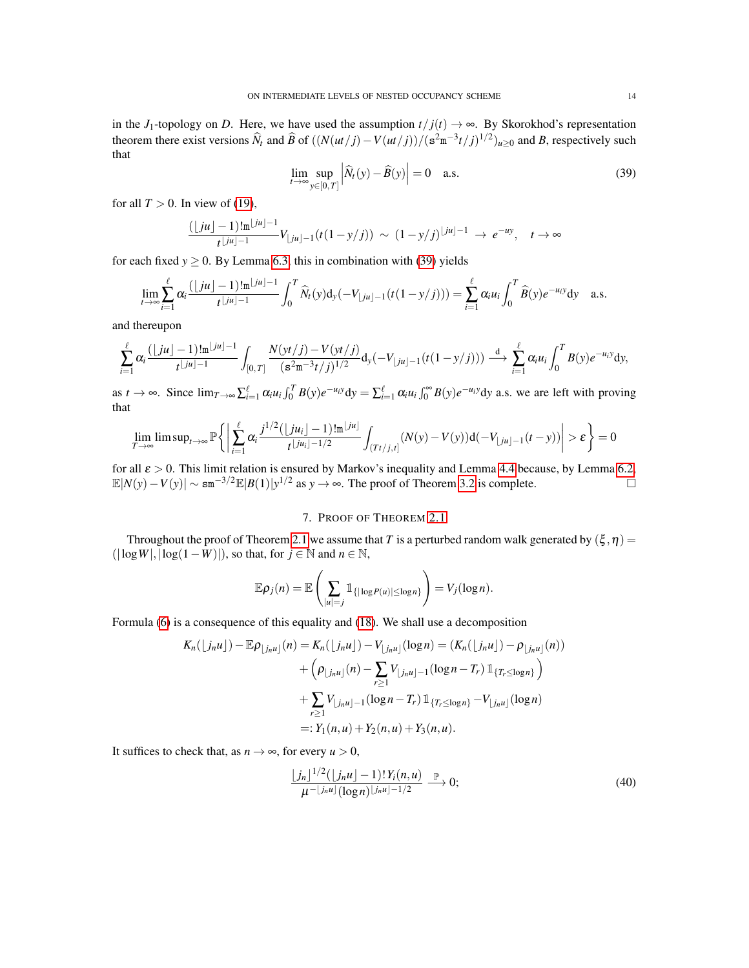in the *J*<sub>1</sub>-topology on *D*. Here, we have used the assumption  $t/f(t) \rightarrow \infty$ . By Skorokhod's representation theorem there exist versions  $\hat{N}_t$  and  $\hat{B}$  of  $((N(ut/j) - V(ut/j))/(s^2m^{-3}t/j)^{1/2})_{u \geq 0}$  and *B*, respectively such that

<span id="page-13-1"></span>
$$
\lim_{t \to \infty} \sup_{y \in [0,T]} \left| \widehat{N}_t(y) - \widehat{B}(y) \right| = 0 \quad \text{a.s.}
$$
\n(39)

for all  $T > 0$ . In view of [\(19\)](#page-5-1),

$$
\frac{(\lfloor ju \rfloor - 1)! \mathfrak{m}^{\lfloor ju \rfloor - 1}}{t^{\lfloor ju \rfloor - 1}} V_{\lfloor ju \rfloor - 1} (t(1 - y/j)) \sim (1 - y/j)^{\lfloor ju \rfloor - 1} \to e^{-uy}, \quad t \to \infty
$$

for each fixed  $y \ge 0$ . By Lemma [6.3,](#page-12-4) this in combination with [\(39\)](#page-13-1) yields

$$
\lim_{t\to\infty}\sum_{i=1}^{\ell}\alpha_i\frac{(\lfloor ju \rfloor-1)!m^{\lfloor ju \rfloor-1}}{t^{\lfloor ju \rfloor-1}}\int_0^T\widehat{N}_t(y)\mathrm{d}_y(-V_{\lfloor ju \rfloor-1}(t(1-y/j)))=\sum_{i=1}^{\ell}\alpha_iu_i\int_0^T\widehat{B}(y)e^{-u_iy}\mathrm{d}y\quad\text{a.s.}
$$

and thereupon

$$
\sum_{i=1}^\ell \alpha_i \frac{(\lfloor ju \rfloor -1)! \mathfrak{m}^{\lfloor ju \rfloor -1}}{t^{\lfloor ju \rfloor -1}} \int_{[0,T]} \frac{N(yt/j)-V(yt/j)}{(\mathbf{s}^2 \mathbf{m}^{-3} t/j)^{1/2}} \mathrm{d}_y(-V_{\lfloor ju \rfloor -1}(t(1-y/j))) \stackrel{\mathrm{d}}{\longrightarrow} \sum_{i=1}^\ell \alpha_i u_i \int_0^T B(y) e^{-u_i y} \mathrm{d}y,
$$

as  $t \to \infty$ . Since  $\lim_{T \to \infty} \sum_{i=1}^{\ell} \alpha_i u_i \int_0^T B(y) e^{-u_i y} dy = \sum_{i=1}^{\ell} \alpha_i u_i \int_0^{\infty} B(y) e^{-u_i y} dy$  a.s. we are left with proving that

$$
\lim_{T\to\infty}\limsup_{t\to\infty}\mathbb{P}\bigg\{\bigg|\sum_{i=1}^{\ell}\alpha_i\frac{j^{1/2}(\lfloor ju_i\rfloor-1)\lfloor\frac{m}{2}\rfloor}{t^{\lfloor ju_i\rfloor-1/2}}\int_{(Tt/j,t]}(N(y)-V(y))\mathrm{d}(-V_{\lfloor ju\rfloor-1}(t-y))\bigg|>\epsilon\bigg\}=0
$$

for all  $\varepsilon > 0$ . This limit relation is ensured by Markov's inequality and Lemma [4.4](#page-6-3) because, by Lemma [6.2,](#page-12-5)  $\mathbb{E}|N(y) - V(y)| \sim \text{sm}^{-3/2} \mathbb{E}|B(1)|y^{1/2}$  as  $y \to \infty$ . The proof of Theorem [3.2](#page-4-1) is complete.  $\Box$ 

### 7. PROOF OF THEOREM [2.1](#page-2-0)

<span id="page-13-0"></span>Throughout the proof of Theorem [2.1](#page-2-0) we assume that *T* is a perturbed random walk generated by  $(\xi, \eta)$  =  $(|log W|, |log(1-W)|)$ , so that, for *j* ∈ N and *n* ∈ N,

$$
\mathbb{E}\rho_j(n)=\mathbb{E}\left(\sum_{|u|=j}\mathbb{1}_{\{|log P(u)|\leq log n\}}\right)=V_j(log n).
$$

Formula [\(6\)](#page-2-3) is a consequence of this equality and [\(18\)](#page-5-6). We shall use a decomposition

$$
K_n(\lfloor j_n u \rfloor) - \mathbb{E}\rho_{\lfloor j_n u \rfloor}(n) = K_n(\lfloor j_n u \rfloor) - V_{\lfloor j_n u \rfloor}(\log n) = (K_n(\lfloor j_n u \rfloor) - \rho_{\lfloor j_n u \rfloor}(n))
$$
  
+ 
$$
\left(\rho_{\lfloor j_n u \rfloor}(n) - \sum_{r \ge 1} V_{\lfloor j_n u \rfloor - 1}(\log n - T_r) \mathbb{1}_{\{T_r \le \log n\}}\right)
$$
  
+ 
$$
\sum_{r \ge 1} V_{\lfloor j_n u \rfloor - 1}(\log n - T_r) \mathbb{1}_{\{T_r \le \log n\}} - V_{\lfloor j_n u \rfloor}(\log n)
$$
  
=:  $Y_1(n, u) + Y_2(n, u) + Y_3(n, u)$ .

It suffices to check that, as  $n \to \infty$ , for every  $u > 0$ ,

<span id="page-13-2"></span>
$$
\frac{\lfloor j_n \rfloor^{1/2} (\lfloor j_n u \rfloor - 1)! Y_i(n, u)}{\mu^{-\lfloor j_n u \rfloor} (\log n)^{\lfloor j_n u \rfloor - 1/2}} \xrightarrow{\mathbb{P}} 0;
$$
\n(40)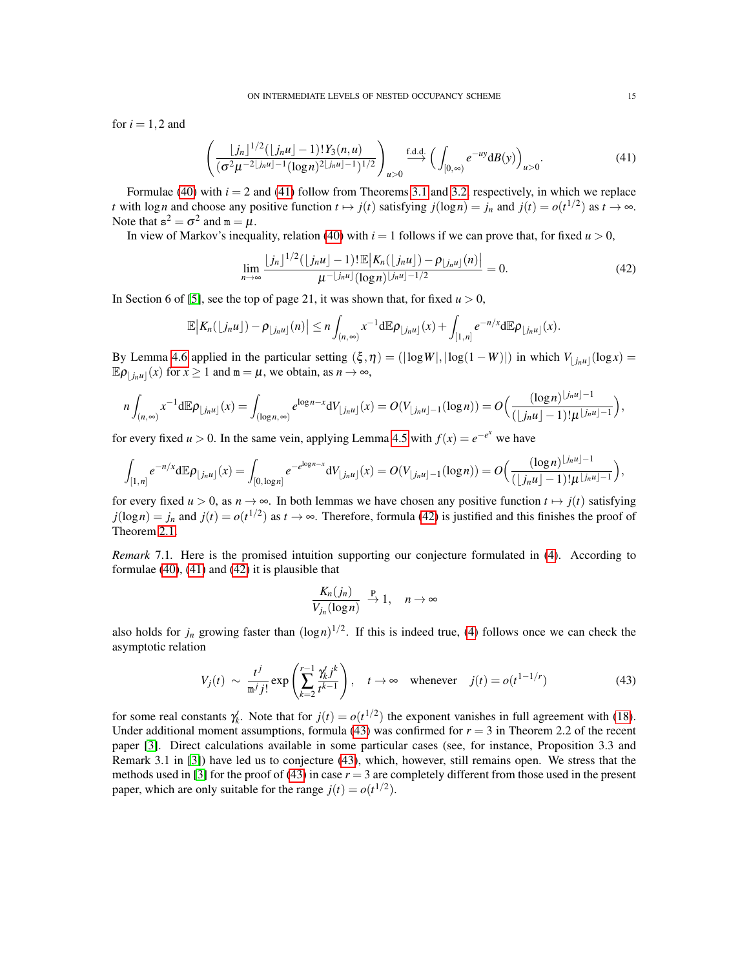for  $i = 1, 2$  and

<span id="page-14-1"></span>
$$
\left(\frac{\lfloor j_n \rfloor^{1/2} (\lfloor j_n u \rfloor - 1)! Y_3(n, u)}{(\sigma^2 \mu^{-2} \lfloor j_n u \rfloor - 1 (\log n)^{2} \lfloor j_n u \rfloor - 1)^{1/2}}\right)_{u > 0} \xrightarrow{\text{f.d.d.}} \left(\int_{[0, \infty)} e^{-uy} dB(y)\right)_{u > 0}.
$$
\n(41)

Formulae [\(40\)](#page-13-2) with  $i = 2$  and [\(41\)](#page-14-1) follow from Theorems [3.1](#page-4-0) and [3.2,](#page-4-1) respectively, in which we replace *t* with log *n* and choose any positive function  $t \mapsto j(t)$  satisfying  $j(\log n) = j_n$  and  $j(t) = o(t^{1/2})$  as  $t \to \infty$ . Note that  $s^2 = \sigma^2$  and  $m = \mu$ .

In view of Markov's inequality, relation [\(40\)](#page-13-2) with  $i = 1$  follows if we can prove that, for fixed  $u > 0$ ,

<span id="page-14-2"></span>
$$
\lim_{n \to \infty} \frac{\lfloor j_n \rfloor^{1/2} (\lfloor j_n u \rfloor - 1)! \mathbb{E} \big| K_n(\lfloor j_n u \rfloor) - \rho_{\lfloor j_n u \rfloor}(n) \big|}{\mu^{-\lfloor j_n u \rfloor} (\log n)^{\lfloor j_n u \rfloor - 1/2}} = 0.
$$
\n(42)

In Section 6 of [\[5\]](#page-18-0), see the top of page 21, it was shown that, for fixed  $u > 0$ ,

$$
\mathbb{E}\big|K_n(\lfloor j_nu\rfloor)-\rho_{\lfloor j_nu\rfloor}(n)\big|\leq n\int_{(n,\infty)}x^{-1}\mathrm{d}\mathbb{E}\rho_{\lfloor j_nu\rfloor}(x)+\int_{[1,n]}e^{-n/x}\mathrm{d}\mathbb{E}\rho_{\lfloor j_nu\rfloor}(x).
$$

By Lemma [4.6](#page-7-1) applied in the particular setting  $(\xi, \eta) = (|\log W|, |\log(1 - W)|)$  in which  $V_{\lfloor j_n u \rfloor}(\log x) =$  $\mathbb{E} \rho_{\lfloor j_n u \rfloor}(x)$  for  $x \ge 1$  and  $m = \mu$ , we obtain, as  $n \to \infty$ ,

$$
n\int_{(n,\infty)}x^{-1}\mathrm{d}\mathbb{E}\rho_{\lfloor j_nu\rfloor}(x)=\int_{(\log n,\infty)}e^{\log n-x}\mathrm{d}V_{\lfloor j_nu\rfloor}(x)=O(V_{\lfloor j_nu\rfloor-1}(\log n))=O\Big(\frac{(\log n)^{\lfloor j_nu\rfloor-1}}{(\lfloor j_nu\rfloor-1)!\mu^{\lfloor j_nu\rfloor-1}}\Big),
$$

for every fixed *u* > 0. In the same vein, applying Lemma [4.5](#page-7-0) with  $f(x) = e^{-e^x}$  we have

$$
\int_{[1,n]} e^{-n/x} d\mathbb{E} \rho_{\lfloor j_n u \rfloor}(x) = \int_{[0,\log n]} e^{-e^{\log n - x}} dV_{\lfloor j_n u \rfloor}(x) = O(V_{\lfloor j_n u \rfloor - 1}(\log n)) = O\Big(\frac{(\log n)^{\lfloor j_n u \rfloor - 1}}{(\lfloor j_n u \rfloor - 1)! \mu^{\lfloor j_n u \rfloor - 1}}\Big),
$$

for every fixed  $u > 0$ , as  $n \to \infty$ . In both lemmas we have chosen any positive function  $t \mapsto j(t)$  satisfying  $j(\log n) = j_n$  and  $j(t) = o(t^{1/2})$  as  $t \to \infty$ . Therefore, formula [\(42\)](#page-14-2) is justified and this finishes the proof of Theorem [2.1.](#page-2-0)

<span id="page-14-0"></span>*Remark* 7.1. Here is the promised intuition supporting our conjecture formulated in [\(4\)](#page-2-1). According to formulae [\(40\)](#page-13-2), [\(41\)](#page-14-1) and [\(42\)](#page-14-2) it is plausible that

$$
\frac{K_n(j_n)}{V_{j_n}(\log n)} \xrightarrow{P} 1, \quad n \to \infty
$$

also holds for  $j_n$  growing faster than  $(\log n)^{1/2}$ . If this is indeed true, [\(4\)](#page-2-1) follows once we can check the asymptotic relation

<span id="page-14-3"></span>
$$
V_j(t) \sim \frac{t^j}{m^j j!} \exp\left(\sum_{k=2}^{r-1} \frac{\gamma_k' j^k}{t^{k-1}}\right), \quad t \to \infty \quad \text{whenever} \quad j(t) = o(t^{1-1/r}) \tag{43}
$$

for some real constants  $\gamma'_k$ . Note that for  $j(t) = o(t^{1/2})$  the exponent vanishes in full agreement with [\(18\)](#page-5-6). Under additional moment assumptions, formula [\(43\)](#page-14-3) was confirmed for  $r = 3$  in Theorem 2.2 of the recent paper [\[3\]](#page-18-4). Direct calculations available in some particular cases (see, for instance, Proposition 3.3 and Remark 3.1 in [\[3\]](#page-18-4)) have led us to conjecture [\(43\)](#page-14-3), which, however, still remains open. We stress that the methods used in [\[3\]](#page-18-4) for the proof of [\(43\)](#page-14-3) in case  $r = 3$  are completely different from those used in the present paper, which are only suitable for the range  $j(t) = o(t^{1/2})$ .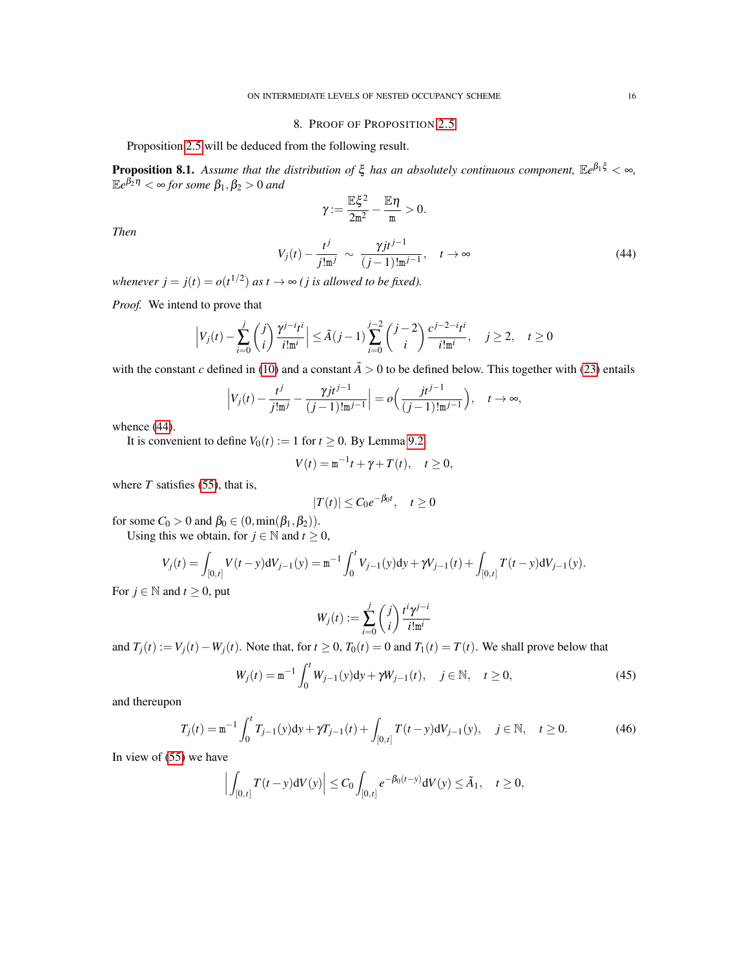### 8. PROOF OF PROPOSITION [2.5](#page-3-0)

<span id="page-15-0"></span>Proposition [2.5](#page-3-0) will be deduced from the following result.

<span id="page-15-4"></span>Proposition 8.1. *Assume that the distribution of* ξ *has an absolutely continuous component,* E*e* <sup>β</sup>1<sup>ξ</sup> < ∞*,* E*e* <sup>β</sup>2<sup>η</sup> < ∞ *for some* β1,β<sup>2</sup> > 0 *and*

$$
\gamma\!:=\frac{\mathbb{E}\xi^2}{2m^2}-\frac{\mathbb{E}\eta}{m}>0.
$$

*Then*

<span id="page-15-1"></span>
$$
V_j(t) - \frac{t^j}{j! \mathfrak{m}^j} \sim \frac{\gamma j t^{j-1}}{(j-1)! \mathfrak{m}^{j-1}}, \quad t \to \infty
$$
 (44)

*whenever*  $j = j(t) = o(t^{1/2})$  *as t*  $\rightarrow \infty$  *(j is allowed to be fixed).* 

*Proof.* We intend to prove that

$$
\left|V_j(t) - \sum_{i=0}^j \binom{j}{i} \frac{\gamma^{j-i} t^i}{i! \mathfrak{m}^i} \right| \le \tilde{A}(j-1) \sum_{i=0}^{j-2} \binom{j-2}{i} \frac{c^{j-2-i} t^i}{i! \mathfrak{m}^i}, \quad j \ge 2, \quad t \ge 0
$$

with the constant *c* defined in [\(10\)](#page-4-3) and a constant  $\tilde{A} > 0$  to be defined below. This together with [\(23\)](#page-6-1) entails

$$
\left|V_j(t) - \frac{t^j}{j!m^j} - \frac{\gamma j t^{j-1}}{(j-1)!m^{j-1}}\right| = o\Big(\frac{jt^{j-1}}{(j-1)!m^{j-1}}\Big), \quad t \to \infty,
$$

whence [\(44\)](#page-15-1).

It is convenient to define  $V_0(t) := 1$  for  $t \ge 0$ . By Lemma [9.2,](#page-18-5)

$$
V(t) = \mathbf{m}^{-1}t + \gamma + T(t), \quad t \ge 0,
$$

where  $T$  satisfies [\(55\)](#page-18-6), that is,

$$
|T(t)| \leq C_0 e^{-\beta_0 t}, \quad t \geq 0
$$

for some  $C_0 > 0$  and  $\beta_0 \in (0, \min(\beta_1, \beta_2)).$ 

Using this we obtain, for  $j \in \mathbb{N}$  and  $t \geq 0$ ,

$$
V_j(t) = \int_{[0,t]} V(t-y) dV_{j-1}(y) = \mathbf{m}^{-1} \int_0^t V_{j-1}(y) dy + \gamma V_{j-1}(t) + \int_{[0,t]} T(t-y) dV_{j-1}(y).
$$

For  $j \in \mathbb{N}$  and  $t \geq 0$ , put

$$
W_j(t) := \sum_{i=0}^j \binom{j}{i} \frac{t^i \gamma^{j-i}}{i! \mathfrak{m}^i}
$$

and  $T_i(t) := V_i(t) - W_i(t)$ . Note that, for  $t \ge 0$ ,  $T_0(t) = 0$  and  $T_1(t) = T(t)$ . We shall prove below that

<span id="page-15-3"></span>
$$
W_j(t) = \mathbf{m}^{-1} \int_0^t W_{j-1}(y) dy + \gamma W_{j-1}(t), \quad j \in \mathbb{N}, \quad t \ge 0,
$$
 (45)

and thereupon

<span id="page-15-2"></span>
$$
T_j(t) = \mathbf{m}^{-1} \int_0^t T_{j-1}(y) dy + \gamma T_{j-1}(t) + \int_{[0,t]} T(t-y) dV_{j-1}(y), \quad j \in \mathbb{N}, \quad t \ge 0.
$$
 (46)

In view of [\(55\)](#page-18-6) we have

$$
\Big|\int_{[0,t]}T(t-y)\mathrm{d}V(y)\Big|\leq C_0\int_{[0,t]}e^{-\beta_0(t-y)}\mathrm{d}V(y)\leq \tilde{A}_1,\quad t\geq 0,
$$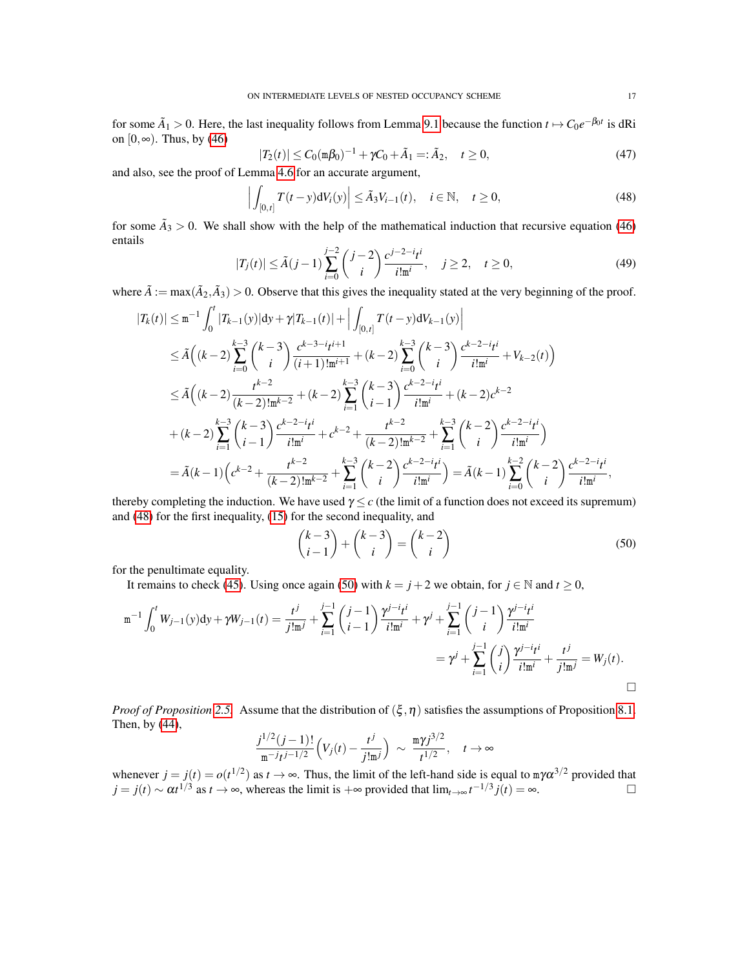for some  $\tilde{A}_1 > 0$ . Here, the last inequality follows from Lemma [9.1](#page-17-1) because the function  $t \mapsto C_0 e^{-\beta_0 t}$  is dRi on  $[0, \infty)$ . Thus, by [\(46\)](#page-15-2)

$$
|T_2(t)| \le C_0 (\text{m}\beta_0)^{-1} + \gamma C_0 + \tilde{A}_1 =: \tilde{A}_2, \quad t \ge 0,
$$
\n(47)

and also, see the proof of Lemma [4.6](#page-7-1) for an accurate argument,

<span id="page-16-0"></span>
$$
\left| \int_{[0,t]} T(t-y) dV_i(y) \right| \leq \tilde{A}_3 V_{i-1}(t), \quad i \in \mathbb{N}, \quad t \geq 0,
$$
\n(48)

for some  $\tilde{A}_3 > 0$ . We shall show with the help of the mathematical induction that recursive equation [\(46\)](#page-15-2) entails

$$
|T_j(t)| \le \tilde{A}(j-1) \sum_{i=0}^{j-2} {j-2 \choose i} \frac{c^{j-2-i}t^i}{i! \mathfrak{m}^i}, \quad j \ge 2, \quad t \ge 0,
$$
\n
$$
(49)
$$

where  $\tilde{A} := \max(\tilde{A}_2, \tilde{A}_3) > 0$ . Observe that this gives the inequality stated at the very beginning of the proof.

$$
|T_{k}(t)| \leq m^{-1} \int_{0}^{t} |T_{k-1}(y)| dy + \gamma |T_{k-1}(t)| + \Big| \int_{[0,t]} T(t-y) dV_{k-1}(y) \Big|
$$
  
\n
$$
\leq \tilde{A}\Big((k-2) \sum_{i=0}^{k-3} {k-3 \choose i} \frac{c^{k-3-i}t^{i+1}}{(i+1)!m^{i+1}} + (k-2) \sum_{i=0}^{k-3} {k-3 \choose i} \frac{c^{k-2-i}t^{i}}{i!m^{i}} + V_{k-2}(t)\Big)
$$
  
\n
$$
\leq \tilde{A}\Big((k-2) \frac{t^{k-2}}{(k-2)!m^{k-2}} + (k-2) \sum_{i=1}^{k-3} {k-3 \choose i-1} \frac{c^{k-2-i}t^{i}}{i!m^{i}} + (k-2) c^{k-2}
$$
  
\n
$$
+ (k-2) \sum_{i=1}^{k-3} {k-3 \choose i-1} \frac{c^{k-2-i}t^{i}}{i!m^{i}} + c^{k-2} + \frac{t^{k-2}}{(k-2)!m^{k-2}} + \sum_{i=1}^{k-3} {k-2 \choose i} \frac{c^{k-2-i}t^{i}}{i!m^{i}} \Big)
$$
  
\n
$$
= \tilde{A}(k-1) \Big(c^{k-2} + \frac{t^{k-2}}{(k-2)!m^{k-2}} + \sum_{i=1}^{k-3} {k-2 \choose i} \frac{c^{k-2-i}t^{i}}{i!m^{i}}\Big) = \tilde{A}(k-1) \sum_{i=0}^{k-2} {k-2-i}t^{i} \Big|_{i}^{k-2},
$$

thereby completing the induction. We have used  $\gamma \leq c$  (the limit of a function does not exceed its supremum) and [\(48\)](#page-16-0) for the first inequality, [\(15\)](#page-5-2) for the second inequality, and

<span id="page-16-1"></span>
$$
\binom{k-3}{i-1} + \binom{k-3}{i} = \binom{k-2}{i}
$$
\n(50)

for the penultimate equality.

It remains to check [\(45\)](#page-15-3). Using once again [\(50\)](#page-16-1) with  $k = j + 2$  we obtain, for  $j \in \mathbb{N}$  and  $t \ge 0$ ,

$$
\begin{split} \mathbf{m}^{-1}\int_{0}^{t} W_{j-1}(y) \mathrm{d}y + \gamma W_{j-1}(t) &= \frac{t^{j}}{j!\,\mathbf{m}^{j}} + \sum_{i=1}^{j-1} \binom{j-1}{i-1} \frac{\gamma^{j-i}t^{i}}{i!\,\mathbf{m}^{i}} + \gamma^{j} + \sum_{i=1}^{j-1} \binom{j-1}{i} \frac{\gamma^{j-i}t^{i}}{i!\,\mathbf{m}^{i}} \\ &= \gamma^{j} + \sum_{i=1}^{j-1} \binom{j}{i} \frac{\gamma^{j-i}t^{i}}{i!\,\mathbf{m}^{i}} + \frac{t^{j}}{j!\,\mathbf{m}^{j}} = W_{j}(t). \end{split}
$$

*Proof of Proposition* [2.5.](#page-3-0) Assume that the distribution of  $(\xi, \eta)$  satisfies the assumptions of Proposition [8.1.](#page-15-4) Then, by [\(44\)](#page-15-1),

$$
\frac{j^{1/2}(j-1)!}{m^{-j}t^{j-1/2}}\Big(V_j(t)-\frac{t^j}{j!m^j}\Big) \sim \frac{m\gamma j^{3/2}}{t^{1/2}}, \quad t \to \infty
$$

whenever  $j = j(t) = o(t^{1/2})$  as  $t \to \infty$ . Thus, the limit of the left-hand side is equal to  $m\gamma \alpha^{3/2}$  provided that  $j = j(t) \sim \alpha t^{1/3}$  as  $t \to \infty$ , whereas the limit is  $+\infty$  provided that  $\lim_{t \to \infty} t^{-1/3} j(t) = \infty$ .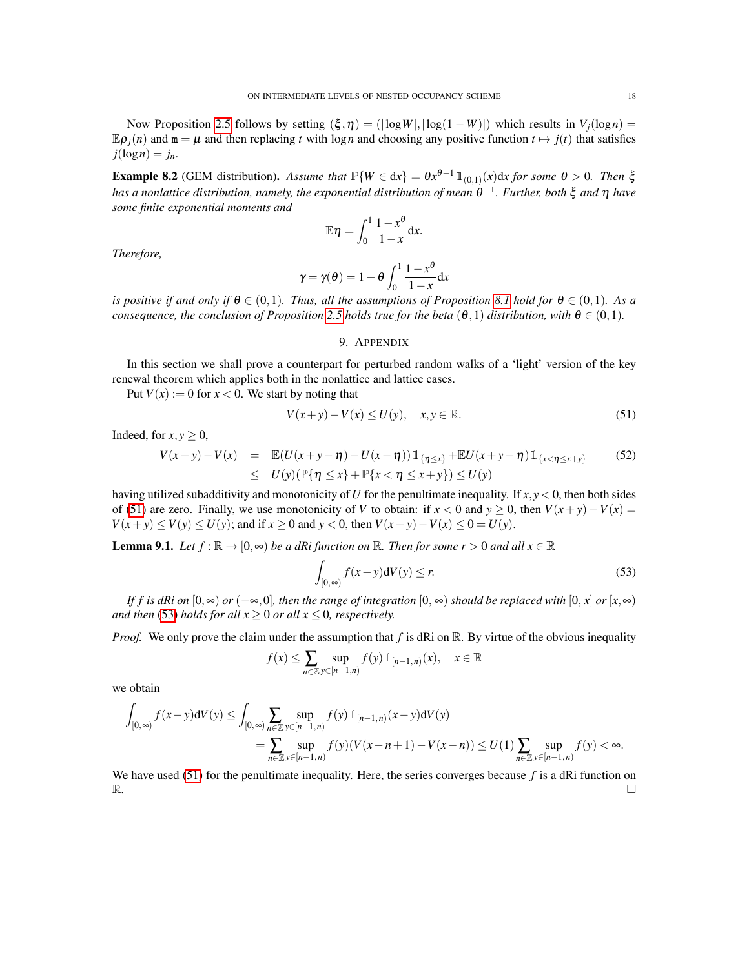Now Proposition [2.5](#page-3-0) follows by setting  $(\xi, \eta) = (|\log W|, |\log(1 - W)|)$  which results in  $V_i(\log n) =$  $\mathbb{E} \rho_i(n)$  and  $\mathbb{m} = \mu$  and then replacing *t* with log *n* and choosing any positive function  $t \mapsto j(t)$  that satisfies  $j(\log n) = j_n$ .

<span id="page-17-0"></span>**Example 8.2** (GEM distribution). Assume that  $\mathbb{P}\{W \in dx\} = \theta x^{\theta-1} \mathbb{1}_{(0,1)}(x) dx$  for some  $\theta > 0$ . Then  $\xi$ *has a nonlattice distribution, namely, the exponential distribution of mean* θ −1 *. Further, both* ξ *and* η *have some finite exponential moments and*

$$
\mathbb{E}\eta = \int_0^1 \frac{1-x^{\theta}}{1-x} \mathrm{d}x.
$$

*Therefore,*

$$
\gamma = \gamma(\theta) = 1 - \theta \int_0^1 \frac{1 - x^{\theta}}{1 - x} dx
$$

*is positive if and only if*  $\theta \in (0,1)$ *. Thus, all the assumptions of Proposition* [8.1](#page-15-4) *hold for*  $\theta \in (0,1)$ *. As a consequence, the conclusion of Proposition* [2.5](#page-3-0) *holds true for the beta*  $(\theta,1)$  *distribution, with*  $\theta \in (0,1)$ *.* 

### 9. APPENDIX

In this section we shall prove a counterpart for perturbed random walks of a 'light' version of the key renewal theorem which applies both in the nonlattice and lattice cases.

Put  $V(x) := 0$  for  $x < 0$ . We start by noting that

<span id="page-17-2"></span>
$$
V(x+y) - V(x) \le U(y), \quad x, y \in \mathbb{R}.\tag{51}
$$

Indeed, for  $x, y \geq 0$ ,

$$
V(x+y) - V(x) = \mathbb{E}(U(x+y-\eta) - U(x-\eta)) \mathbb{1}_{\{\eta \le x\}} + \mathbb{E}U(x+y-\eta) \mathbb{1}_{\{x < \eta \le x+y\}} \tag{52}
$$
  
\$\le U(y) (\mathbb{P}\{\eta \le x\} + \mathbb{P}\{x < \eta \le x+y\}) \le U(y)

having utilized subadditivity and monotonicity of *U* for the penultimate inequality. If *x*, *y* < 0, then both sides of [\(51\)](#page-17-2) are zero. Finally, we use monotonicity of *V* to obtain: if  $x < 0$  and  $y > 0$ , then  $V(x + y) - V(x) =$ *V*(*x*+*y*) ≤ *V*(*y*) ≤ *U*(*y*); and if *x* ≥ 0 and *y* < 0, then *V*(*x*+*y*)−*V*(*x*) ≤ 0 = *U*(*y*).

<span id="page-17-1"></span>**Lemma 9.1.** Let  $f : \mathbb{R} \to [0, \infty)$  be a dRi function on  $\mathbb{R}$ . Then for some  $r > 0$  and all  $x \in \mathbb{R}$ 

<span id="page-17-3"></span>
$$
\int_{[0,\infty)} f(x-y)dV(y) \le r.
$$
\n(53)

*If f is dRi on*  $[0, \infty)$  *or*  $(-\infty, 0]$ *, then the range of integration*  $[0, \infty)$  *should be replaced with*  $[0, x]$  *or*  $[x, \infty)$ *and then* [\(53\)](#page-17-3) *holds for all*  $x \ge 0$  *or all*  $x \le 0$ *, respectively.* 

*Proof.* We only prove the claim under the assumption that f is dRi on R. By virtue of the obvious inequality

$$
f(x) \le \sum_{n \in \mathbb{Z}} \sup_{y \in [n-1,n)} f(y) \mathbb{1}_{[n-1,n)}(x), \quad x \in \mathbb{R}
$$

we obtain

$$
\int_{[0,\infty)} f(x-y) dV(y) \le \int_{[0,\infty)} \sum_{n \in \mathbb{Z}} \sup_{y \in [n-1,n)} f(y) 1\!\!1_{[n-1,n)}(x-y) dV(y)
$$
\n
$$
= \sum_{n \in \mathbb{Z}} \sup_{y \in [n-1,n)} f(y) (V(x-n+1) - V(x-n)) \le U(1) \sum_{n \in \mathbb{Z}} \sup_{y \in [n-1,n)} f(y) < \infty.
$$

We have used [\(51\)](#page-17-2) for the penultimate inequality. Here, the series converges because f is a dRi function on  $\mathbb{R}$ .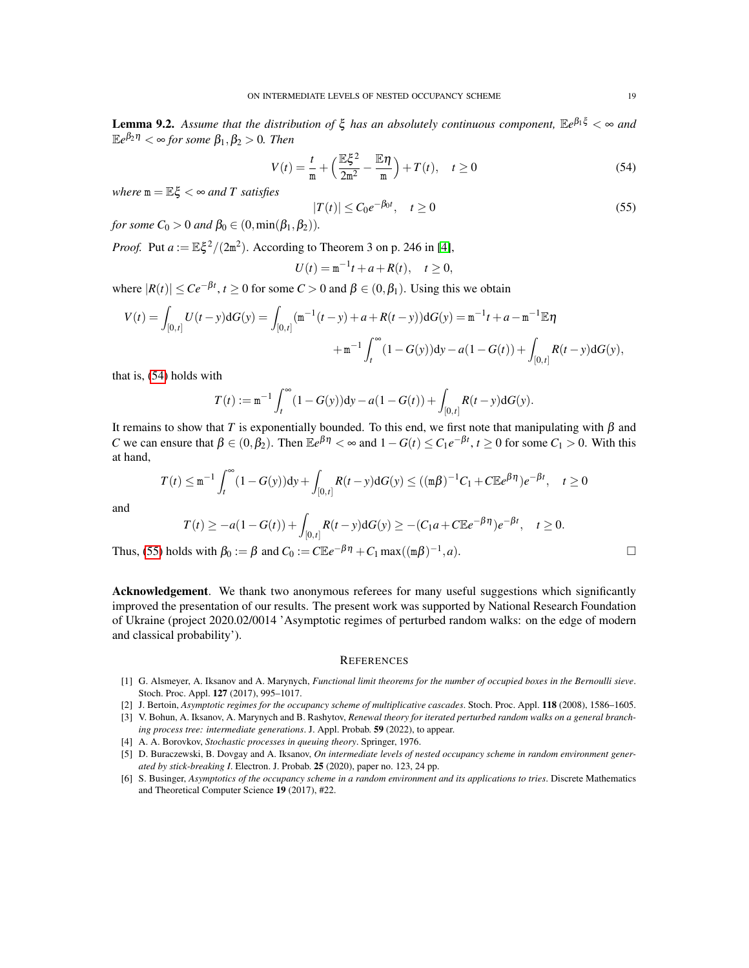<span id="page-18-5"></span>Lemma 9.2. *Assume that the distribution of* ξ *has an absolutely continuous component,* E*e* <sup>β</sup>1<sup>ξ</sup> < ∞ *and*  $\mathbb{E}e^{\beta_2\eta}<\infty$  for some  $\beta_1,\beta_2>0.$  Then

<span id="page-18-8"></span>
$$
V(t) = \frac{t}{m} + \left(\frac{\mathbb{E}\xi^2}{2m^2} - \frac{\mathbb{E}\eta}{m}\right) + T(t), \quad t \ge 0
$$
\n
$$
(54)
$$

*where*  $m = \mathbb{E}\xi < \infty$  *and T satisfies* 

<span id="page-18-6"></span>
$$
|T(t)| \le C_0 e^{-\beta_0 t}, \quad t \ge 0
$$
\n
$$
(55)
$$

*for some*  $C_0 > 0$  *and*  $\beta_0 \in (0, \min(\beta_1, \beta_2)).$ 

*Proof.* Put  $a := \mathbb{E} \xi^2 / (2m^2)$ . According to Theorem 3 on p. 246 in [\[4\]](#page-18-7),

$$
U(t) = m^{-1}t + a + R(t), \quad t \ge 0,
$$

where  $|R(t)| \le Ce^{-\beta t}$ ,  $t \ge 0$  for some  $C > 0$  and  $\beta \in (0, \beta_1)$ . Using this we obtain

$$
V(t) = \int_{[0,t]} U(t-y) dG(y) = \int_{[0,t]} (\mathbf{m}^{-1}(t-y) + a + R(t-y)) dG(y) = \mathbf{m}^{-1}t + a - \mathbf{m}^{-1} \mathbb{E} \eta
$$
  
 
$$
+ \mathbf{m}^{-1} \int_{t}^{\infty} (1 - G(y)) dy - a(1 - G(t)) + \int_{[0,t]} R(t-y) dG(y),
$$

that is, [\(54\)](#page-18-8) holds with

$$
T(t) := \mathbf{m}^{-1} \int_{t}^{\infty} (1 - G(y)) dy - a(1 - G(t)) + \int_{[0, t]} R(t - y) dG(y).
$$

It remains to show that *T* is exponentially bounded. To this end, we first note that manipulating with  $β$  and *C* we can ensure that  $\beta \in (0, \beta_2)$ . Then  $\mathbb{E}e^{\beta \eta} < \infty$  and  $1 - G(t) \le C_1 e^{-\beta t}$ ,  $t \ge 0$  for some  $C_1 > 0$ . With this at hand,

$$
T(t) \le m^{-1} \int_t^{\infty} (1 - G(y)) dy + \int_{[0,t]} R(t - y) dG(y) \le ((m\beta)^{-1} C_1 + C \mathbb{E} e^{\beta \eta}) e^{-\beta t}, \quad t \ge 0
$$

and

$$
T(t) \ge -a(1 - G(t)) + \int_{[0,t]} R(t - y) dG(y) \ge -(C_1 a + C \mathbb{E} e^{-\beta \eta}) e^{-\beta t}, \quad t \ge 0.
$$
  
lds with  $\beta_0 := \beta$  and  $C_0 := C \mathbb{E} e^{-\beta \eta} + C_1 \max((\mathfrak{m}\beta)^{-1}, a).$ 

Thus, [\(55\)](#page-18-6) holds with  $\beta_0 := \beta$  and  $C_0 := C \mathbb{E} e^{-\beta \eta} + C_1 \max((\mathfrak{m}\beta)^{-1})$ 

Acknowledgement. We thank two anonymous referees for many useful suggestions which significantly improved the presentation of our results. The present work was supported by National Research Foundation of Ukraine (project 2020.02/0014 'Asymptotic regimes of perturbed random walks: on the edge of modern and classical probability').

#### **REFERENCES**

- <span id="page-18-3"></span>[1] G. Alsmeyer, A. Iksanov and A. Marynych, *Functional limit theorems for the number of occupied boxes in the Bernoulli sieve*. Stoch. Proc. Appl. 127 (2017), 995–1017.
- <span id="page-18-1"></span>[2] J. Bertoin, *Asymptotic regimes for the occupancy scheme of multiplicative cascades*. Stoch. Proc. Appl. 118 (2008), 1586–1605.
- <span id="page-18-4"></span>[3] V. Bohun, A. Iksanov, A. Marynych and B. Rashytov, *Renewal theory for iterated perturbed random walks on a general branch-*
- *ing process tree: intermediate generations*. J. Appl. Probab. 59 (2022), to appear.
- <span id="page-18-7"></span>[4] A. A. Borovkov, *Stochastic processes in queuing theory*. Springer, 1976.
- <span id="page-18-0"></span>[5] D. Buraczewski, B. Dovgay and A. Iksanov, *On intermediate levels of nested occupancy scheme in random environment generated by stick-breaking I*. Electron. J. Probab. 25 (2020), paper no. 123, 24 pp.
- <span id="page-18-2"></span>[6] S. Businger, *Asymptotics of the occupancy scheme in a random environment and its applications to tries*. Discrete Mathematics and Theoretical Computer Science 19 (2017), #22.